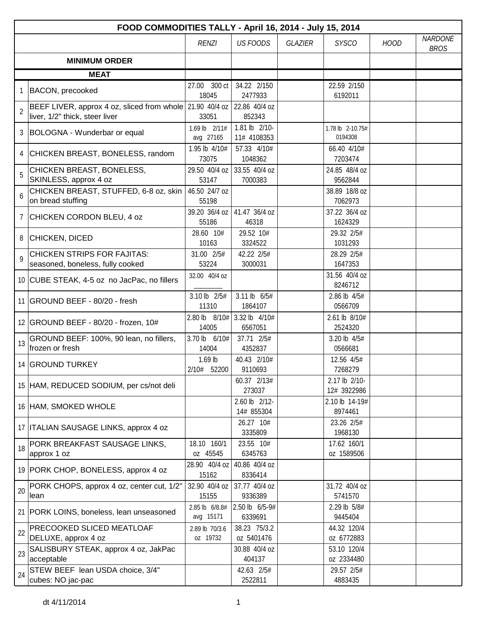|                | FOOD COMMODITIES TALLY - April 16, 2014 - July 15, 2014                                    |                             |                              |                |                              |             |                               |  |  |  |
|----------------|--------------------------------------------------------------------------------------------|-----------------------------|------------------------------|----------------|------------------------------|-------------|-------------------------------|--|--|--|
|                |                                                                                            | <b>RENZI</b>                | <b>US FOODS</b>              | <b>GLAZIER</b> | <b>SYSCO</b>                 | <b>HOOD</b> | <b>NARDONE</b><br><b>BROS</b> |  |  |  |
|                | <b>MINIMUM ORDER</b>                                                                       |                             |                              |                |                              |             |                               |  |  |  |
|                | <b>MEAT</b>                                                                                |                             |                              |                |                              |             |                               |  |  |  |
| 1              | <b>BACON, precooked</b>                                                                    | 300 ct<br>27.00<br>18045    | 34.22 2/150<br>2477933       |                | 22.59 2/150<br>6192011       |             |                               |  |  |  |
| $\overline{2}$ | BEEF LIVER, approx 4 oz, sliced from whole 21.90 40/4 oz<br>liver, 1/2" thick, steer liver | 33051                       | 22.86 40/4 oz<br>852343      |                |                              |             |                               |  |  |  |
| 3              | BOLOGNA - Wunderbar or equal                                                               | 1.69 lb 2/11#<br>avg 27165  | 1.81 lb 2/10-<br>11# 4108353 |                | 1.78 lb 2-10.75#<br>0194308  |             |                               |  |  |  |
| 4              | CHICKEN BREAST, BONELESS, random                                                           | 1.95 lb 4/10#<br>73075      | 57.33 4/10#<br>1048362       |                | 66.40 4/10#<br>7203474       |             |                               |  |  |  |
| 5              | CHICKEN BREAST, BONELESS,<br>SKINLESS, approx 4 oz                                         | 29.50 40/4 oz<br>53147      | 33.55 40/4 oz<br>7000383     |                | 24.85 48/4 oz<br>9562844     |             |                               |  |  |  |
| 6              | CHICKEN BREAST, STUFFED, 6-8 oz, skin<br>on bread stuffing                                 | 46.50 24/7 oz<br>55198      |                              |                | 38.89 18/8 oz<br>7062973     |             |                               |  |  |  |
| $\overline{7}$ | CHICKEN CORDON BLEU, 4 oz                                                                  | 39.20 36/4 oz<br>55186      | 41.47 36/4 oz<br>46318       |                | 37.22 36/4 oz<br>1624329     |             |                               |  |  |  |
| 8              | <b>CHICKEN, DICED</b>                                                                      | 28.60 10#<br>10163          | 29.52 10#<br>3324522         |                | 29.32 2/5#<br>1031293        |             |                               |  |  |  |
| $\mathsf{o}$   | <b>CHICKEN STRIPS FOR FAJITAS:</b><br>seasoned, boneless, fully cooked                     | 31.00 2/5#<br>53224         | 42.22 2/5#<br>3000031        |                | 28.29 2/5#<br>1647353        |             |                               |  |  |  |
|                | 10 CUBE STEAK, 4-5 oz no JacPac, no fillers                                                | 32.00 40/4 oz               |                              |                | 31.56 40/4 oz<br>8246712     |             |                               |  |  |  |
|                | 11 GROUND BEEF - 80/20 - fresh                                                             | 3.10 lb 2/5#<br>11310       | 3.11 lb $6/5#$<br>1864107    |                | 2.86 lb 4/5#<br>0566709      |             |                               |  |  |  |
|                | 12 GROUND BEEF - 80/20 - frozen, 10#                                                       | 2.80 lb 8/10#<br>14005      | 3.32 lb 4/10#<br>6567051     |                | 2.61 lb 8/10#<br>2524320     |             |                               |  |  |  |
| 13             | GROUND BEEF: 100%, 90 lean, no fillers,<br>frozen or fresh                                 | 3.70 lb 6/10#<br>14004      | 37.71 2/5#<br>4352837        |                | 3.20 lb 4/5#<br>0566681      |             |                               |  |  |  |
|                | 14 GROUND TURKEY                                                                           | $1.69$ lb<br>2/10# 52200    | 40.43 2/10#<br>9110693       |                | 12.56 4/5#<br>7268279        |             |                               |  |  |  |
|                | 15 HAM, REDUCED SODIUM, per cs/not deli                                                    |                             | 60.37 2/13#<br>273037        |                | 2.17 lb 2/10-<br>12# 3922986 |             |                               |  |  |  |
|                | 16 HAM, SMOKED WHOLE                                                                       |                             | 2.60 lb 2/12-<br>14# 855304  |                | 2.10 lb 14-19#<br>8974461    |             |                               |  |  |  |
|                | 17 ITALIAN SAUSAGE LINKS, approx 4 oz                                                      |                             | 26.27 10#<br>3335809         |                | 23.26 2/5#<br>1968130        |             |                               |  |  |  |
| 18             | PORK BREAKFAST SAUSAGE LINKS,<br>approx 1 oz                                               | 18.10 160/1<br>oz 45545     | 23.55 10#<br>6345763         |                | 17.62 160/1<br>oz 1589506    |             |                               |  |  |  |
|                | 19 PORK CHOP, BONELESS, approx 4 oz                                                        | 28.90 40/4 oz<br>15162      | 40.86 40/4 oz<br>8336414     |                |                              |             |                               |  |  |  |
| 20             | PORK CHOPS, approx 4 oz, center cut, 1/2"<br>lean                                          | 32.90 40/4 oz<br>15155      | 37.77 40/4 oz<br>9336389     |                | 31.72 40/4 oz<br>5741570     |             |                               |  |  |  |
|                | 21 PORK LOINS, boneless, lean unseasoned                                                   | 2.85 lb 6/8.8#<br>avg 15171 | 2.50 lb 6/5-9#<br>6339691    |                | 2.29 lb 5/8#<br>9445404      |             |                               |  |  |  |
| 22             | PRECOOKED SLICED MEATLOAF<br>DELUXE, approx 4 oz                                           | 2.89 lb 70/3.6<br>oz 19732  | 38.23 75/3.2<br>oz 5401476   |                | 44.32 120/4<br>oz 6772883    |             |                               |  |  |  |
| 23             | SALISBURY STEAK, approx 4 oz, JakPac<br>acceptable                                         |                             | 30.88 40/4 oz<br>404137      |                | 53.10 120/4<br>oz 2334480    |             |                               |  |  |  |
| 24             | STEW BEEF lean USDA choice, 3/4"<br>cubes: NO jac-pac                                      |                             | 42.63 2/5#<br>2522811        |                | 29.57 2/5#<br>4883435        |             |                               |  |  |  |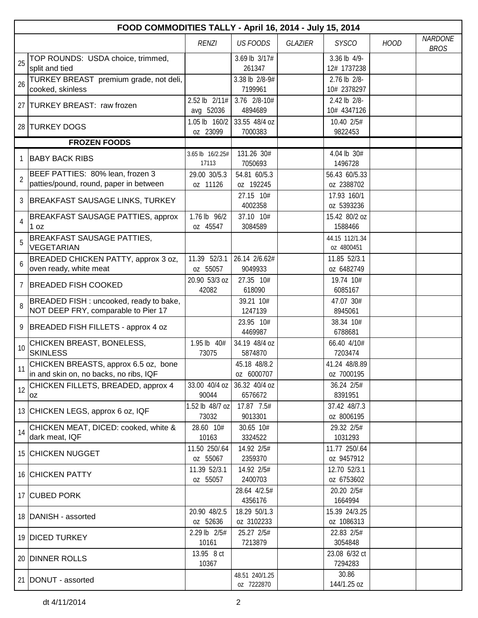|                | FOOD COMMODITIES TALLY - April 16, 2014 - July 15, 2014                        |                            |                              |                |                              |             |                               |  |  |  |
|----------------|--------------------------------------------------------------------------------|----------------------------|------------------------------|----------------|------------------------------|-------------|-------------------------------|--|--|--|
|                |                                                                                | <b>RENZI</b>               | <b>US FOODS</b>              | <b>GLAZIER</b> | <b>SYSCO</b>                 | <b>HOOD</b> | <b>NARDONE</b><br><b>BROS</b> |  |  |  |
| 25             | TOP ROUNDS: USDA choice, trimmed,<br>split and tied                            |                            | 3.69 lb 3/17#<br>261347      |                | 3.36 lb 4/9-<br>12# 1737238  |             |                               |  |  |  |
| 26             | TURKEY BREAST premium grade, not deli,<br>cooked, skinless                     |                            | 3.38 lb 2/8-9#<br>7199961    |                | 2.76 lb 2/8-<br>10# 2378297  |             |                               |  |  |  |
|                | 27 TURKEY BREAST: raw frozen                                                   | 2.52 lb 2/11#<br>avg 52036 | 3.76 2/8-10#<br>4894689      |                | 2.42 lb 2/8-<br>10# 4347126  |             |                               |  |  |  |
|                | 28 TURKEY DOGS                                                                 | 1.05 lb 160/2<br>oz 23099  | 33.55 48/4 oz<br>7000383     |                | 10.40 2/5#<br>9822453        |             |                               |  |  |  |
|                | <b>FROZEN FOODS</b>                                                            |                            |                              |                |                              |             |                               |  |  |  |
|                | <b>BABY BACK RIBS</b>                                                          | 3.65 lb 16/2.25#<br>17113  | 131.26 30#<br>7050693        |                | 4.04 lb 30#<br>1496728       |             |                               |  |  |  |
| $\overline{2}$ | BEEF PATTIES: 80% lean, frozen 3<br>patties/pound, round, paper in between     | 29.00 30/5.3<br>oz 11126   | 54.81 60/5.3<br>oz 192245    |                | 56.43 60/5.33<br>oz 2388702  |             |                               |  |  |  |
| 3              | BREAKFAST SAUSAGE LINKS, TURKEY                                                |                            | 27.15 10#<br>4002358         |                | 17.93 160/1<br>0Z 5393236    |             |                               |  |  |  |
| $\overline{4}$ | BREAKFAST SAUSAGE PATTIES, approx<br>1 oz                                      | 1.76 lb 96/2<br>oz 45547   | 37.10 10#<br>3084589         |                | 15.42 80/2 oz<br>1588466     |             |                               |  |  |  |
| 5              | BREAKFAST SAUSAGE PATTIES,<br><b>VEGETARIAN</b>                                |                            |                              |                | 44.15 112/1.34<br>oz 4800451 |             |                               |  |  |  |
| 6              | BREADED CHICKEN PATTY, approx 3 oz,<br>oven ready, white meat                  | 11.39 52/3.1<br>oz 55057   | 26.14 2/6.62#<br>9049933     |                | 11.85 52/3.1<br>oz 6482749   |             |                               |  |  |  |
| 7              | <b>BREADED FISH COOKED</b>                                                     | 20.90 53/3 oz<br>42082     | 27.35 10#<br>618090          |                | 19.74 10#<br>6085167         |             |                               |  |  |  |
| 8              | BREADED FISH : uncooked, ready to bake,<br>NOT DEEP FRY, comparable to Pier 17 |                            | 39.21 10#<br>1247139         |                | 47.07 30#<br>8945061         |             |                               |  |  |  |
| 9              | BREADED FISH FILLETS - approx 4 oz                                             |                            | 23.95 10#<br>4469987         |                | 38.34 10#<br>6788681         |             |                               |  |  |  |
| 10             | CHICKEN BREAST, BONELESS,<br><b>SKINLESS</b>                                   | 1.95 lb 40#<br>73075       | 34.19 48/4 oz<br>5874870     |                | 66.40 4/10#<br>7203474       |             |                               |  |  |  |
| 11             | CHICKEN BREASTS, approx 6.5 oz, bone<br>in and skin on, no backs, no ribs, IQF |                            | 45.18 48/8.2<br>oz 6000707   |                | 41.24 48/8.89<br>oz 7000195  |             |                               |  |  |  |
| 12             | CHICKEN FILLETS, BREADED, approx 4<br>ΟZ                                       | 33.00 40/4 oz<br>90044     | 36.32 40/4 oz<br>6576672     |                | 36.24 2/5#<br>8391951        |             |                               |  |  |  |
|                | 13 CHICKEN LEGS, approx 6 oz, IQF                                              | 1.52 lb 48/7 oz<br>73032   | 17.87 7.5#<br>9013301        |                | 37.42 48/7.3<br>oz 8006195   |             |                               |  |  |  |
| 14             | CHICKEN MEAT, DICED: cooked, white &<br>dark meat, IQF                         | 28.60 10#<br>10163         | 30.65 10#<br>3324522         |                | 29.32 2/5#<br>1031293        |             |                               |  |  |  |
|                | 15 CHICKEN NUGGET                                                              | 11.50 250/.64<br>oz 55067  | 14.92 2/5#<br>2359370        |                | 11.77 250/.64<br>oz 9457912  |             |                               |  |  |  |
|                | <b>16 CHICKEN PATTY</b>                                                        | 11.39 52/3.1<br>oz 55057   | 14.92 2/5#<br>2400703        |                | 12.70 52/3.1<br>oz 6753602   |             |                               |  |  |  |
|                | 17 CUBED PORK                                                                  |                            | 28.64 4/2.5#<br>4356176      |                | 20.20 2/5#<br>1664994        |             |                               |  |  |  |
|                | 18   DANISH - assorted                                                         | 20.90 48/2.5<br>oz 52636   | 18.29 50/1.3<br>oz 3102233   |                | 15.39 24/3.25<br>oz 1086313  |             |                               |  |  |  |
|                | 19 DICED TURKEY                                                                | 2.29 lb 2/5#<br>10161      | 25.27 2/5#<br>7213879        |                | 22.83 2/5#<br>3054848        |             |                               |  |  |  |
|                | 20 DINNER ROLLS                                                                | 13.95 8 ct<br>10367        |                              |                | 23.08 6/32 ct<br>7294283     |             |                               |  |  |  |
|                | 21 DONUT - assorted                                                            |                            | 48.51 240/1.25<br>oz 7222870 |                | 30.86<br>144/1.25 oz         |             |                               |  |  |  |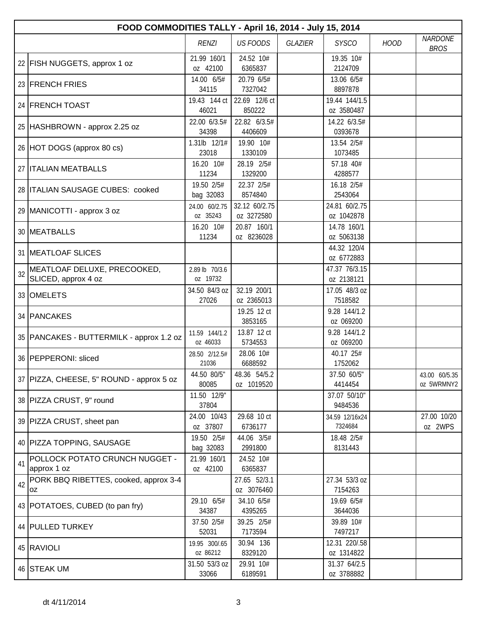|    | FOOD COMMODITIES TALLY - April 16, 2014 - July 15, 2014 |                            |                             |                |                             |             |                               |  |  |  |
|----|---------------------------------------------------------|----------------------------|-----------------------------|----------------|-----------------------------|-------------|-------------------------------|--|--|--|
|    |                                                         | <b>RENZI</b>               | <b>US FOODS</b>             | <b>GLAZIER</b> | <b>SYSCO</b>                | <b>HOOD</b> | <b>NARDONE</b><br><b>BROS</b> |  |  |  |
|    | 22 FISH NUGGETS, approx 1 oz                            | 21.99 160/1<br>oz 42100    | 24.52 10#<br>6365837        |                | 19.35 10#<br>2124709        |             |                               |  |  |  |
|    | 23 FRENCH FRIES                                         | 14.00 6/5#<br>34115        | 20.79 6/5#<br>7327042       |                | 13.06 6/5#<br>8897878       |             |                               |  |  |  |
|    | 24 FRENCH TOAST                                         | 19.43 144 ct<br>46021      | 22.69 12/6 ct<br>850222     |                | 19.44 144/1.5<br>oz 3580487 |             |                               |  |  |  |
|    | 25   HASHBROWN - approx 2.25 oz                         | 22.00 6/3.5#<br>34398      | 22.82 6/3.5#<br>4406609     |                | 14.22 6/3.5#<br>0393678     |             |                               |  |  |  |
|    | 26 HOT DOGS (approx 80 cs)                              | 1.31lb 12/1#<br>23018      | 19.90 10#<br>1330109        |                | 13.54 2/5#<br>1073485       |             |                               |  |  |  |
|    | 27   ITALIAN MEATBALLS                                  | 16.20 10#<br>11234         | 28.19 2/5#<br>1329200       |                | 57.18 40#<br>4288577        |             |                               |  |  |  |
|    | 28 ITALIAN SAUSAGE CUBES: cooked                        | 19.50 2/5#<br>bag 32083    | 22.37 2/5#<br>8574840       |                | 16.18 2/5#<br>2543064       |             |                               |  |  |  |
|    | 29 MANICOTTI - approx 3 oz                              | 24.00 60/2.75<br>oz 35243  | 32.12 60/2.75<br>oz 3272580 |                | 24.81 60/2.75<br>oz 1042878 |             |                               |  |  |  |
|    | 30 MEATBALLS                                            | 16.20 10#<br>11234         | 20.87 160/1<br>oz 8236028   |                | 14.78 160/1<br>oz 5063138   |             |                               |  |  |  |
|    | 31 MEATLOAF SLICES                                      |                            |                             |                | 44.32 120/4<br>oz 6772883   |             |                               |  |  |  |
| 32 | MEATLOAF DELUXE, PRECOOKED,<br>SLICED, approx 4 oz      | 2.89 lb 70/3.6<br>oz 19732 |                             |                | 47.37 76/3.15<br>oz 2138121 |             |                               |  |  |  |
|    | 33 OMELETS                                              | 34.50 84/3 oz<br>27026     | 32.19 200/1<br>oz 2365013   |                | 17.05 48/3 oz<br>7518582    |             |                               |  |  |  |
|    | 34   PANCAKES                                           |                            | 19.25 12 ct<br>3853165      |                | 9.28 144/1.2<br>oz 069200   |             |                               |  |  |  |
|    | 35   PANCAKES - BUTTERMILK - approx 1.2 oz              | 11.59 144/1.2<br>oz 46033  | 13.87 12 ct<br>5734553      |                | 9.28 144/1.2<br>oz 069200   |             |                               |  |  |  |
|    | 36 PEPPERONI: sliced                                    | 28.50 2/12.5#<br>21036     | 28.06 10#<br>6688592        |                | 40.17 25#<br>1752062        |             |                               |  |  |  |
|    | 37   PIZZA, CHEESE, 5" ROUND - approx 5 oz              | 44.50 80/5"<br>80085       | 48.36 54/5.2<br>oz 1019520  |                | 37.50 60/5"<br>4414454      |             | 43.00 60/5.35<br>oz 5WRMNY2   |  |  |  |
|    | 38 PIZZA CRUST, 9" round                                | 11.50 12/9"<br>37804       |                             |                | 37.07 50/10"<br>9484536     |             |                               |  |  |  |
|    | 39 PIZZA CRUST, sheet pan                               | 24.00 10/43<br>oz 37807    | 29.68 10 ct<br>6736177      |                | 34.59 12/16x24<br>7324684   |             | 27.00 10/20<br>oz 2WPS        |  |  |  |
|    | 40   PIZZA TOPPING, SAUSAGE                             | 19.50 2/5#<br>bag 32083    | 44.06 3/5#<br>2991800       |                | 18.48 2/5#<br>8131443       |             |                               |  |  |  |
| 41 | POLLOCK POTATO CRUNCH NUGGET -<br>approx 1 oz           | 21.99 160/1<br>oz 42100    | 24.52 10#<br>6365837        |                |                             |             |                               |  |  |  |
| 42 | PORK BBQ RIBETTES, cooked, approx 3-4<br>0Z             |                            | 27.65 52/3.1<br>oz 3076460  |                | 27.34 53/3 oz<br>7154263    |             |                               |  |  |  |
|    | 43   POTATOES, CUBED (to pan fry)                       | 29.10 6/5#<br>34387        | 34.10 6/5#<br>4395265       |                | 19.69 6/5#<br>3644036       |             |                               |  |  |  |
|    | 44 PULLED TURKEY                                        | 37.50 2/5#<br>52031        | 39.25 2/5#<br>7173594       |                | 39.89 10#<br>7497217        |             |                               |  |  |  |
|    | 45 RAVIOLI                                              | 19.95 300/.65<br>oz 86212  | 30.94 136<br>8329120        |                | 12.31 220/.58<br>oz 1314822 |             |                               |  |  |  |
|    | 46 STEAK UM                                             | 31.50 53/3 oz<br>33066     | 29.91 10#<br>6189591        |                | 31.37 64/2.5<br>oz 3788882  |             |                               |  |  |  |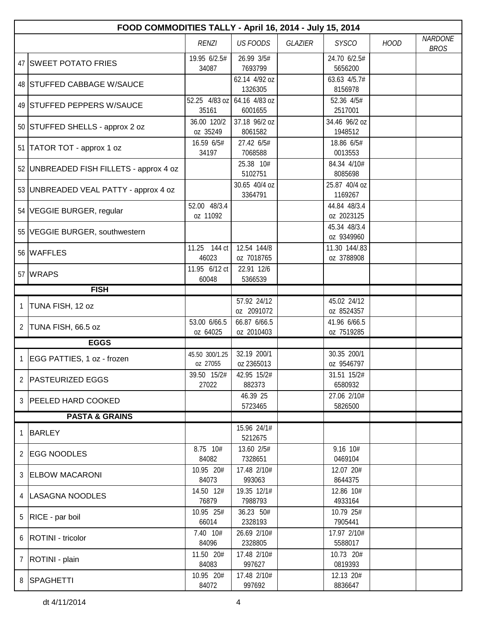|                | FOOD COMMODITIES TALLY - April 16, 2014 - July 15, 2014 |                            |                            |         |                             |             |                               |  |  |  |
|----------------|---------------------------------------------------------|----------------------------|----------------------------|---------|-----------------------------|-------------|-------------------------------|--|--|--|
|                |                                                         | <b>RENZI</b>               | <b>US FOODS</b>            | GLAZIER | <b>SYSCO</b>                | <b>HOOD</b> | <b>NARDONE</b><br><b>BROS</b> |  |  |  |
|                | 47 SWEET POTATO FRIES                                   | 19.95 6/2.5#<br>34087      | 26.99 3/5#<br>7693799      |         | 24.70 6/2.5#<br>5656200     |             |                               |  |  |  |
|                | 48 STUFFED CABBAGE W/SAUCE                              |                            | 62.14 4/92 oz<br>1326305   |         | 63.63 4/5.7#<br>8156978     |             |                               |  |  |  |
|                | 49 STUFFED PEPPERS W/SAUCE                              | 52.25 4/83 oz<br>35161     | 64.16 4/83 oz<br>6001655   |         | 52.36 4/5#<br>2517001       |             |                               |  |  |  |
|                | 50 STUFFED SHELLS - approx 2 oz                         | 36.00 120/2<br>oz 35249    | 37.18 96/2 oz<br>8061582   |         | 34.46 96/2 oz<br>1948512    |             |                               |  |  |  |
|                | 51   TATOR TOT - approx 1 oz                            | 16.59 6/5#<br>34197        | 27.42 6/5#<br>7068588      |         | 18.86 6/5#<br>0013553       |             |                               |  |  |  |
|                | 52 UNBREADED FISH FILLETS - approx 4 oz                 |                            | 25.38 10#<br>5102751       |         | 84.34 4/10#<br>8085698      |             |                               |  |  |  |
|                | 53 UNBREADED VEAL PATTY - approx 4 oz                   |                            | 30.65 40/4 oz<br>3364791   |         | 25.87 40/4 oz<br>1169267    |             |                               |  |  |  |
|                | 54   VEGGIE BURGER, regular                             | 52.00 48/3.4<br>oz 11092   |                            |         | 44.84 48/3.4<br>oz 2023125  |             |                               |  |  |  |
|                | 55 VEGGIE BURGER, southwestern                          |                            |                            |         | 45.34 48/3.4<br>oz 9349960  |             |                               |  |  |  |
|                | 56 WAFFLES                                              | 11.25 144 ct<br>46023      | 12.54 144/8<br>oz 7018765  |         | 11.30 144/.83<br>oz 3788908 |             |                               |  |  |  |
|                | 57 WRAPS                                                | 11.95 6/12 ct<br>60048     | 22.91 12/6<br>5366539      |         |                             |             |                               |  |  |  |
|                | <b>FISH</b>                                             |                            |                            |         |                             |             |                               |  |  |  |
| 1              | TUNA FISH, 12 oz                                        |                            | 57.92 24/12                |         | 45.02 24/12                 |             |                               |  |  |  |
|                |                                                         |                            | oz 2091072                 |         | oz 8524357                  |             |                               |  |  |  |
| 2              | TUNA FISH, 66.5 oz                                      | 53.00 6/66.5<br>oz 64025   | 66.87 6/66.5<br>oz 2010403 |         | 41.96 6/66.5<br>oz 7519285  |             |                               |  |  |  |
|                | <b>EGGS</b>                                             |                            |                            |         |                             |             |                               |  |  |  |
| $\mathbf{1}$   | EGG PATTIES, 1 oz - frozen                              | 45.50 300/1.25<br>oz 27055 | 32.19 200/1<br>oz 2365013  |         | 30.35 200/1<br>oz 9546797   |             |                               |  |  |  |
| 2              | <b>PASTEURIZED EGGS</b>                                 | 39.50 15/2#<br>27022       | 42.95 15/2#<br>882373      |         | 31.51 15/2#<br>6580932      |             |                               |  |  |  |
|                | 3 PEELED HARD COOKED                                    |                            | 46.39 25<br>5723465        |         | 27.06 2/10#<br>5826500      |             |                               |  |  |  |
|                | <b>PASTA &amp; GRAINS</b>                               |                            |                            |         |                             |             |                               |  |  |  |
| 1              | <b>BARLEY</b>                                           |                            | 15.96 24/1#<br>5212675     |         |                             |             |                               |  |  |  |
| $\overline{2}$ | <b>EGG NOODLES</b>                                      | 8.75 10#<br>84082          | 13.60 2/5#<br>7328651      |         | 9.16 10#<br>0469104         |             |                               |  |  |  |
|                | 3 ELBOW MACARONI                                        | 10.95 20#<br>84073         | 17.48 2/10#<br>993063      |         | 12.07 20#<br>8644375        |             |                               |  |  |  |
|                | 4   LASAGNA NOODLES                                     | 14.50 12#<br>76879         | 19.35 12/1#<br>7988793     |         | 12.86 10#<br>4933164        |             |                               |  |  |  |
| 5              | RICE - par boil                                         | 10.95 25#<br>66014         | 36.23 50#<br>2328193       |         | 10.79 25#<br>7905441        |             |                               |  |  |  |
| 6              | <b>ROTINI</b> - tricolor                                | 7.40 10#<br>84096          | 26.69 2/10#<br>2328805     |         | 17.97 2/10#<br>5588017      |             |                               |  |  |  |
| $\overline{7}$ | ROTINI - plain                                          | 11.50 20#<br>84083         | 17.48 2/10#<br>997627      |         | 10.73 20#<br>0819393        |             |                               |  |  |  |
|                | 8 SPAGHETTI                                             | 10.95 20#<br>84072         | 17.48 2/10#<br>997692      |         | 12.13 20#<br>8836647        |             |                               |  |  |  |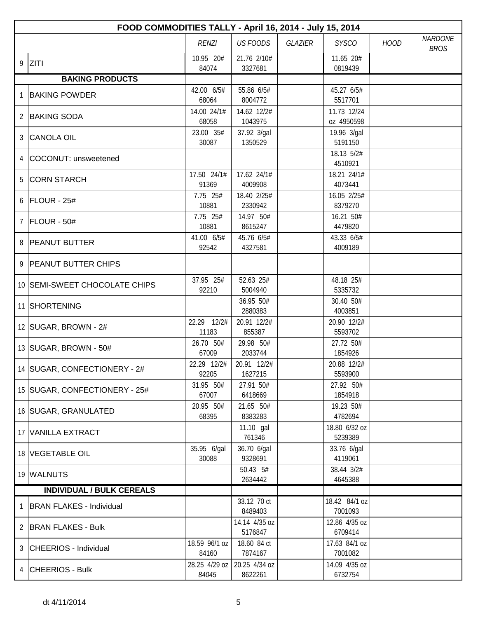|                | FOOD COMMODITIES TALLY - April 16, 2014 - July 15, 2014 |                        |                          |         |                           |             |                               |  |  |  |
|----------------|---------------------------------------------------------|------------------------|--------------------------|---------|---------------------------|-------------|-------------------------------|--|--|--|
|                |                                                         | <b>RENZI</b>           | <b>US FOODS</b>          | GLAZIER | <b>SYSCO</b>              | <b>HOOD</b> | <b>NARDONE</b><br><b>BROS</b> |  |  |  |
|                | $9$ ZITI                                                | 10.95 20#<br>84074     | 21.76 2/10#<br>3327681   |         | 11.65 20#<br>0819439      |             |                               |  |  |  |
|                | <b>BAKING PRODUCTS</b>                                  |                        |                          |         |                           |             |                               |  |  |  |
| 1              | <b>BAKING POWDER</b>                                    | 42.00 6/5#<br>68064    | 55.86 6/5#<br>8004772    |         | 45.276/5#<br>5517701      |             |                               |  |  |  |
| $\overline{2}$ | <b>BAKING SODA</b>                                      | 14.00 24/1#<br>68058   | 14.62 12/2#<br>1043975   |         | 11.73 12/24<br>oz 4950598 |             |                               |  |  |  |
| 3              | <b>CANOLA OIL</b>                                       | 23.00 35#<br>30087     | 37.92 3/gal<br>1350529   |         | 19.96 3/gal<br>5191150    |             |                               |  |  |  |
| 4              | COCONUT: unsweetened                                    |                        |                          |         | 18.13 5/2#<br>4510921     |             |                               |  |  |  |
|                | 5 CORN STARCH                                           | 17.50 24/1#<br>91369   | 17.62 24/1#<br>4009908   |         | 18.21 24/1#<br>4073441    |             |                               |  |  |  |
|                | 6 FLOUR - 25#                                           | 7.75 25#<br>10881      | 18.40 2/25#<br>2330942   |         | 16.05 2/25#<br>8379270    |             |                               |  |  |  |
| $\overline{7}$ | FLOUR - 50#                                             | 7.75 25#<br>10881      | 14.97 50#<br>8615247     |         | 16.21 50#<br>4479820      |             |                               |  |  |  |
|                | 8 PEANUT BUTTER                                         | 41.00 6/5#<br>92542    | 45.76 6/5#<br>4327581    |         | 43.33 6/5#<br>4009189     |             |                               |  |  |  |
|                | 9 PEANUT BUTTER CHIPS                                   |                        |                          |         |                           |             |                               |  |  |  |
|                | 10 SEMI-SWEET CHOCOLATE CHIPS                           | 37.95 25#<br>92210     | 52.63 25#<br>5004940     |         | 48.18 25#<br>5335732      |             |                               |  |  |  |
|                | 11 SHORTENING                                           |                        | 36.95 50#<br>2880383     |         | 30.40 50#<br>4003851      |             |                               |  |  |  |
|                | 12 SUGAR, BROWN - 2#                                    | 22.29 12/2#<br>11183   | 20.91 12/2#<br>855387    |         | 20.90 12/2#<br>5593702    |             |                               |  |  |  |
|                | 13 SUGAR, BROWN - 50#                                   | 26.70 50#<br>67009     | 29.98 50#<br>2033744     |         | 27.72 50#<br>1854926      |             |                               |  |  |  |
|                | 14 SUGAR, CONFECTIONERY - 2#                            | 22.29 12/2#<br>92205   | 20.91 12/2#<br>1627215   |         | 20.88 12/2#<br>5593900    |             |                               |  |  |  |
|                | 15   SUGAR, CONFECTIONERY - 25#                         | 31.95 50#<br>67007     | 27.91 50#<br>6418669     |         | 27.92 50#<br>1854918      |             |                               |  |  |  |
|                | 16 SUGAR, GRANULATED                                    | 20.95 50#<br>68395     | 21.65 50#<br>8383283     |         | 19.23 50#<br>4782694      |             |                               |  |  |  |
|                | 17 VANILLA EXTRACT                                      |                        | 11.10 gal<br>761346      |         | 18.80 6/32 oz<br>5239389  |             |                               |  |  |  |
|                | 18 VEGETABLE OIL                                        | 35.95 6/gal<br>30088   | 36.70 6/gal<br>9328691   |         | 33.76 6/gal<br>4119061    |             |                               |  |  |  |
|                | 19 WALNUTS                                              |                        | 50.43 5#<br>2634442      |         | 38.44 3/2#<br>4645388     |             |                               |  |  |  |
|                | <b>INDIVIDUAL / BULK CEREALS</b>                        |                        |                          |         |                           |             |                               |  |  |  |
| 1              | <b>BRAN FLAKES - Individual</b>                         |                        | 33.12 70 ct<br>8489403   |         | 18.42 84/1 oz<br>7001093  |             |                               |  |  |  |
| 2              | <b>BRAN FLAKES - Bulk</b>                               |                        | 14.14 4/35 oz<br>5176847 |         | 12.86 4/35 oz<br>6709414  |             |                               |  |  |  |
|                | 3 CHEERIOS - Individual                                 | 18.59 96/1 oz<br>84160 | 18.60 84 ct<br>7874167   |         | 17.63 84/1 oz<br>7001082  |             |                               |  |  |  |
| 4              | <b>CHEERIOS - Bulk</b>                                  | 28.25 4/29 oz<br>84045 | 20.25 4/34 oz<br>8622261 |         | 14.09 4/35 oz<br>6732754  |             |                               |  |  |  |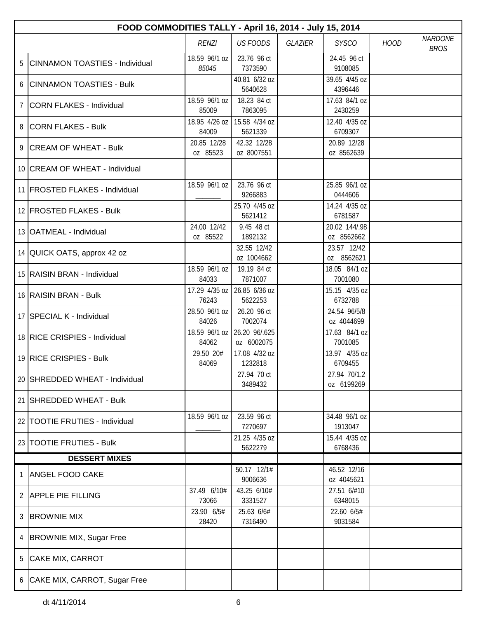|                 | FOOD COMMODITIES TALLY - April 16, 2014 - July 15, 2014 |                         |                             |         |                             |             |                               |  |  |  |
|-----------------|---------------------------------------------------------|-------------------------|-----------------------------|---------|-----------------------------|-------------|-------------------------------|--|--|--|
|                 |                                                         | <b>RENZI</b>            | <b>US FOODS</b>             | GLAZIER | <b>SYSCO</b>                | <b>HOOD</b> | <b>NARDONE</b><br><b>BROS</b> |  |  |  |
| 5               | <b>CINNAMON TOASTIES - Individual</b>                   | 18.59 96/1 oz<br>85045  | 23.76 96 ct<br>7373590      |         | 24.45 96 ct<br>9108085      |             |                               |  |  |  |
|                 | <b>CINNAMON TOASTIES - Bulk</b>                         |                         | 40.81 6/32 oz<br>5640628    |         | 39.65 4/45 oz<br>4396446    |             |                               |  |  |  |
| $7\phantom{.0}$ | CORN FLAKES - Individual                                | 18.59 96/1 oz<br>85009  | 18.23 84 ct<br>7863095      |         | 17.63 84/1 oz<br>2430259    |             |                               |  |  |  |
|                 | 8 CORN FLAKES - Bulk                                    | 18.95 4/26 oz<br>84009  | 15.58 4/34 oz<br>5621339    |         | 12.40 4/35 oz<br>6709307    |             |                               |  |  |  |
|                 | 9 CREAM OF WHEAT - Bulk                                 | 20.85 12/28<br>oz 85523 | 42.32 12/28<br>oz 8007551   |         | 20.89 12/28<br>oz 8562639   |             |                               |  |  |  |
|                 | 10 CREAM OF WHEAT - Individual                          |                         |                             |         |                             |             |                               |  |  |  |
|                 | 11 FROSTED FLAKES - Individual                          | 18.59 96/1 oz           | 23.76 96 ct<br>9266883      |         | 25.85 96/1 oz<br>0444606    |             |                               |  |  |  |
|                 | 12 FROSTED FLAKES - Bulk                                |                         | 25.70 4/45 oz<br>5621412    |         | 14.24 4/35 oz<br>6781587    |             |                               |  |  |  |
|                 | 13 OATMEAL - Individual                                 | 24.00 12/42<br>oz 85522 | 9.45 48 ct<br>1892132       |         | 20.02 144/.98<br>oz 8562662 |             |                               |  |  |  |
|                 | 14 QUICK OATS, approx 42 oz                             |                         | 32.55 12/42<br>oz 1004662   |         | 23.57 12/42<br>oz 8562621   |             |                               |  |  |  |
|                 | 15 RAISIN BRAN - Individual                             | 18.59 96/1 oz<br>84033  | 19.19 84 ct<br>7871007      |         | 18.05 84/1 oz<br>7001080    |             |                               |  |  |  |
|                 | 16 RAISIN BRAN - Bulk                                   | 17.29 4/35 oz<br>76243  | 26.85 6/36 oz<br>5622253    |         | 15.15 4/35 oz<br>6732788    |             |                               |  |  |  |
|                 | 17 SPECIAL K - Individual                               | 28.50 96/1 oz<br>84026  | 26.20 96 ct<br>7002074      |         | 24.54 96/5/8<br>oz 4044699  |             |                               |  |  |  |
|                 | 18 RICE CRISPIES - Individual                           | 18.59 96/1 oz<br>84062  | 26.20 96/.625<br>oz 6002075 |         | 17.63 84/1 oz<br>7001085    |             |                               |  |  |  |
|                 | 19 RICE CRISPIES - Bulk                                 | 29.50 20#<br>84069      | 17.08 4/32 oz<br>1232818    |         | 13.97 4/35 oz<br>6709455    |             |                               |  |  |  |
|                 | 20 SHREDDED WHEAT - Individual                          |                         | 27.94 70 ct<br>3489432      |         | 27.94 70/1.2<br>oz 6199269  |             |                               |  |  |  |
|                 | 21 SHREDDED WHEAT - Bulk                                |                         |                             |         |                             |             |                               |  |  |  |
|                 | 22 TOOTIE FRUTIES - Individual                          | 18.59 96/1 oz           | 23.59 96 ct<br>7270697      |         | 34.48 96/1 oz<br>1913047    |             |                               |  |  |  |
|                 | 23 TOOTIE FRUTIES - Bulk                                |                         | 21.25 4/35 oz<br>5622279    |         | 15.44 4/35 oz<br>6768436    |             |                               |  |  |  |
|                 | <b>DESSERT MIXES</b>                                    |                         |                             |         |                             |             |                               |  |  |  |
|                 | ANGEL FOOD CAKE                                         |                         | 50.17 12/1#<br>9006636      |         | 46.52 12/16<br>oz 4045621   |             |                               |  |  |  |
|                 | 2 APPLE PIE FILLING                                     | 37.49 6/10#<br>73066    | 43.25 6/10#<br>3331527      |         | 27.51 6/#10<br>6348015      |             |                               |  |  |  |
| 3               | <b>BROWNIE MIX</b>                                      | 23.90 6/5#<br>28420     | 25.63 6/6#<br>7316490       |         | 22.60 6/5#<br>9031584       |             |                               |  |  |  |
| 4               | <b>BROWNIE MIX, Sugar Free</b>                          |                         |                             |         |                             |             |                               |  |  |  |
| 5               | CAKE MIX, CARROT                                        |                         |                             |         |                             |             |                               |  |  |  |
|                 | 6 CAKE MIX, CARROT, Sugar Free                          |                         |                             |         |                             |             |                               |  |  |  |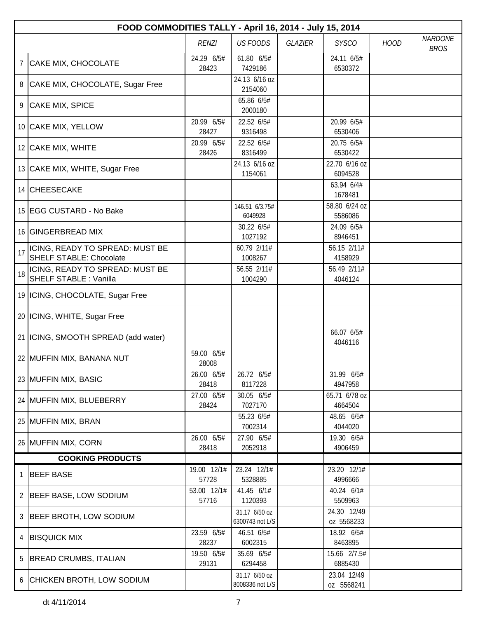|                | FOOD COMMODITIES TALLY - April 16, 2014 - July 15, 2014           |                      |                                  |         |                           |             |                               |  |  |  |
|----------------|-------------------------------------------------------------------|----------------------|----------------------------------|---------|---------------------------|-------------|-------------------------------|--|--|--|
|                |                                                                   | <b>RENZI</b>         | <b>US FOODS</b>                  | GLAZIER | <b>SYSCO</b>              | <b>HOOD</b> | <b>NARDONE</b><br><b>BROS</b> |  |  |  |
| $\overline{7}$ | CAKE MIX, CHOCOLATE                                               | 24.29 6/5#<br>28423  | 61.80 6/5#<br>7429186            |         | 24.11 6/5#<br>6530372     |             |                               |  |  |  |
| 8              | CAKE MIX, CHOCOLATE, Sugar Free                                   |                      | 24.13 6/16 oz<br>2154060         |         |                           |             |                               |  |  |  |
|                | 9 CAKE MIX, SPICE                                                 |                      | 65.86 6/5#<br>2000180            |         |                           |             |                               |  |  |  |
|                | 10 CAKE MIX, YELLOW                                               | 20.99 6/5#<br>28427  | 22.52 6/5#<br>9316498            |         | 20.99 6/5#<br>6530406     |             |                               |  |  |  |
|                | 12 CAKE MIX, WHITE                                                | 20.99 6/5#<br>28426  | 22.52 6/5#<br>8316499            |         | 20.75 6/5#<br>6530422     |             |                               |  |  |  |
|                | 13 CAKE MIX, WHITE, Sugar Free                                    |                      | 24.13 6/16 oz<br>1154061         |         | 22.70 6/16 oz<br>6094528  |             |                               |  |  |  |
|                | 14 CHEESECAKE                                                     |                      |                                  |         | 63.94 6/4#<br>1678481     |             |                               |  |  |  |
|                | 15 EGG CUSTARD - No Bake                                          |                      | 146.51 6/3.75#<br>6049928        |         | 58.80 6/24 oz<br>5586086  |             |                               |  |  |  |
|                | 16 GINGERBREAD MIX                                                |                      | 30.22 6/5#<br>1027192            |         | 24.09 6/5#<br>8946451     |             |                               |  |  |  |
| 17             | ICING, READY TO SPREAD: MUST BE<br><b>SHELF STABLE: Chocolate</b> |                      | 60.79 2/11#<br>1008267           |         | 56.15 2/11#<br>4158929    |             |                               |  |  |  |
| 18             | ICING, READY TO SPREAD: MUST BE<br><b>SHELF STABLE: Vanilla</b>   |                      | 56.55 2/11#<br>1004290           |         | 56.49 2/11#<br>4046124    |             |                               |  |  |  |
|                | 19   ICING, CHOCOLATE, Sugar Free                                 |                      |                                  |         |                           |             |                               |  |  |  |
|                | 20   ICING, WHITE, Sugar Free                                     |                      |                                  |         |                           |             |                               |  |  |  |
|                | 21   ICING, SMOOTH SPREAD (add water)                             |                      |                                  |         | 66.07 6/5#<br>4046116     |             |                               |  |  |  |
|                | 22 MUFFIN MIX, BANANA NUT                                         | 59.00 6/5#<br>28008  |                                  |         |                           |             |                               |  |  |  |
|                | 23 MUFFIN MIX, BASIC                                              | 26.00 6/5#<br>28418  | 26.72 6/5#<br>8117228            |         | 31.99 6/5#<br>4947958     |             |                               |  |  |  |
|                | 24 MUFFIN MIX, BLUEBERRY                                          | 27.00 6/5#<br>28424  | 30.05 6/5#<br>7027170            |         | 65.71 6/78 oz<br>4664504  |             |                               |  |  |  |
|                | 25 MUFFIN MIX, BRAN                                               |                      | 55.23 6/5#<br>7002314            |         | 48.65 6/5#<br>4044020     |             |                               |  |  |  |
|                | 26 MUFFIN MIX, CORN                                               | 26.00 6/5#<br>28418  | 27.90 6/5#<br>2052918            |         | 19.30 6/5#<br>4906459     |             |                               |  |  |  |
|                | <b>COOKING PRODUCTS</b>                                           |                      |                                  |         |                           |             |                               |  |  |  |
| 1              | <b>BEEF BASE</b>                                                  | 19.00 12/1#<br>57728 | 23.24 12/1#<br>5328885           |         | 23.20 12/1#<br>4996666    |             |                               |  |  |  |
|                | 2 BEEF BASE, LOW SODIUM                                           | 53.00 12/1#<br>57716 | 41.45 6/1#<br>1120393            |         | 40.24 6/1#<br>5509963     |             |                               |  |  |  |
| 3              | BEEF BROTH, LOW SODIUM                                            |                      | 31.17 6/50 oz<br>6300743 not L/S |         | 24.30 12/49<br>oz 5568233 |             |                               |  |  |  |
| 4              | <b>BISQUICK MIX</b>                                               | 23.59 6/5#<br>28237  | 46.51 6/5#<br>6002315            |         | 18.92 6/5#<br>8463895     |             |                               |  |  |  |
| 5              | <b>BREAD CRUMBS, ITALIAN</b>                                      | 19.50 6/5#<br>29131  | 35.69 6/5#<br>6294458            |         | 15.66 2/7.5#<br>6885430   |             |                               |  |  |  |
|                | 6 CHICKEN BROTH, LOW SODIUM                                       |                      | 31.17 6/50 oz<br>8008336 not L/S |         | 23.04 12/49<br>oz 5568241 |             |                               |  |  |  |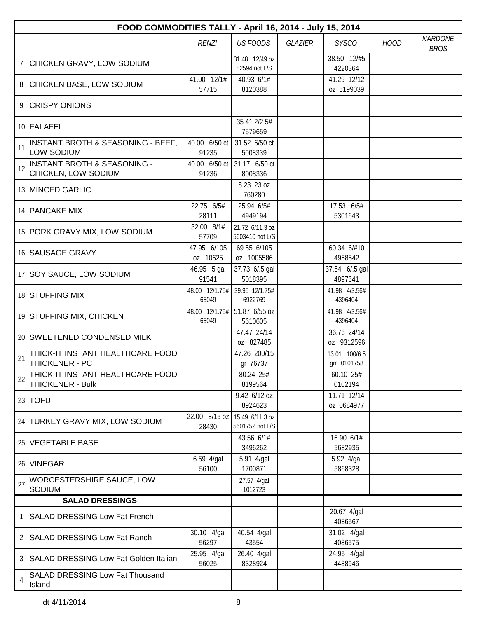|             | FOOD COMMODITIES TALLY - April 16, 2014 - July 15, 2014     |                         |                                    |                |                             |             |                               |  |  |  |
|-------------|-------------------------------------------------------------|-------------------------|------------------------------------|----------------|-----------------------------|-------------|-------------------------------|--|--|--|
|             |                                                             | <b>RENZI</b>            | <b>US FOODS</b>                    | <b>GLAZIER</b> | <b>SYSCO</b>                | <b>HOOD</b> | <b>NARDONE</b><br><b>BROS</b> |  |  |  |
| $7^{\circ}$ | CHICKEN GRAVY, LOW SODIUM                                   |                         | 31.48 12/49 oz<br>82594 not L/S    |                | 38.50 12/#5<br>4220364      |             |                               |  |  |  |
|             | 8 CHICKEN BASE, LOW SODIUM                                  | 41.00 12/1#<br>57715    | 40.93 6/1#<br>8120388              |                | 41.29 12/12<br>oz 5199039   |             |                               |  |  |  |
|             | 9 CRISPY ONIONS                                             |                         |                                    |                |                             |             |                               |  |  |  |
|             | 10 FALAFEL                                                  |                         | 35.41 2/2.5#<br>7579659            |                |                             |             |                               |  |  |  |
| 11          | INSTANT BROTH & SEASONING - BEEF,<br>LOW SODIUM             | 40.00 6/50 ct<br>91235  | 31.52 6/50 ct<br>5008339           |                |                             |             |                               |  |  |  |
| 12          | INSTANT BROTH & SEASONING -<br>CHICKEN, LOW SODIUM          | 40.00 6/50 ct<br>91236  | 31.17 6/50 ct<br>8008336           |                |                             |             |                               |  |  |  |
|             | 13 MINCED GARLIC                                            |                         | 8.23 23 oz<br>760280               |                |                             |             |                               |  |  |  |
|             | 14 PANCAKE MIX                                              | 22.75 6/5#<br>28111     | 25.94 6/5#<br>4949194              |                | 17.53 6/5#<br>5301643       |             |                               |  |  |  |
|             | 15 PORK GRAVY MIX, LOW SODIUM                               | 32.00 8/1#<br>57709     | 21.72 6/11.3 oz<br>5603410 not L/S |                |                             |             |                               |  |  |  |
|             | 16 SAUSAGE GRAVY                                            | 47.95 6/105<br>oz 10625 | 69.55 6/105<br>oz 1005586          |                | 60.34 6/#10<br>4958542      |             |                               |  |  |  |
|             | 17   SOY SAUCE, LOW SODIUM                                  | 46.95 5 gal<br>91541    | 37.73 6/.5 gal<br>5018395          |                | 37.54 6/.5 gal<br>4897641   |             |                               |  |  |  |
|             | 18 STUFFING MIX                                             | 48.00 12/1.75#<br>65049 | 39.95 12/1.75#<br>6922769          |                | 41.98 4/3.56#<br>4396404    |             |                               |  |  |  |
|             | 19 STUFFING MIX, CHICKEN                                    | 48.00 12/1.75#<br>65049 | 51.87 6/55 oz<br>5610605           |                | 41.98 4/3.56#<br>4396404    |             |                               |  |  |  |
|             | 20 SWEETENED CONDENSED MILK                                 |                         | 47.47 24/14<br>oz 827485           |                | 36.76 24/14<br>oz 9312596   |             |                               |  |  |  |
| 21          | THICK-IT INSTANT HEALTHCARE FOOD<br>THICKENER - PC          |                         | 47.26 200/15<br>gr 76737           |                | 13.01 100/6.5<br>gm 0101758 |             |                               |  |  |  |
| 22          | THICK-IT INSTANT HEALTHCARE FOOD<br><b>THICKENER - Bulk</b> |                         | 80.24 25#<br>8199564               |                | 60.10 25#<br>0102194        |             |                               |  |  |  |
|             | $23$ TOFU                                                   |                         | 9.42 6/12 oz<br>8924623            |                | 11.71 12/14<br>oz 0684977   |             |                               |  |  |  |
|             | 24 TURKEY GRAVY MIX, LOW SODIUM                             | 22.00 8/15 oz<br>28430  | 15.49 6/11.3 oz<br>5601752 not L/S |                |                             |             |                               |  |  |  |
|             | 25 VEGETABLE BASE                                           |                         | 43.56 6/1#<br>3496262              |                | 16.90 6/1#<br>5682935       |             |                               |  |  |  |
|             | 26 VINEGAR                                                  | 6.59 4/gal<br>56100     | 5.91 4/gal<br>1700871              |                | 5.92 4/gal<br>5868328       |             |                               |  |  |  |
| 27          | WORCESTERSHIRE SAUCE, LOW<br>SODIUM                         |                         | 27.57 4/gal<br>1012723             |                |                             |             |                               |  |  |  |
|             | <b>SALAD DRESSINGS</b>                                      |                         |                                    |                |                             |             |                               |  |  |  |
| 1           | <b>SALAD DRESSING Low Fat French</b>                        |                         |                                    |                | 20.67 4/gal<br>4086567      |             |                               |  |  |  |
| 2           | <b>SALAD DRESSING Low Fat Ranch</b>                         | 30.10 4/gal<br>56297    | 40.54 4/gal<br>43554               |                | 31.02 4/gal<br>4086575      |             |                               |  |  |  |
| 3           | SALAD DRESSING Low Fat Golden Italian                       | 25.95 4/gal<br>56025    | 26.40 4/gal<br>8328924             |                | 24.95 4/gal<br>4488946      |             |                               |  |  |  |
| 4           | <b>SALAD DRESSING Low Fat Thousand</b><br>Island            |                         |                                    |                |                             |             |                               |  |  |  |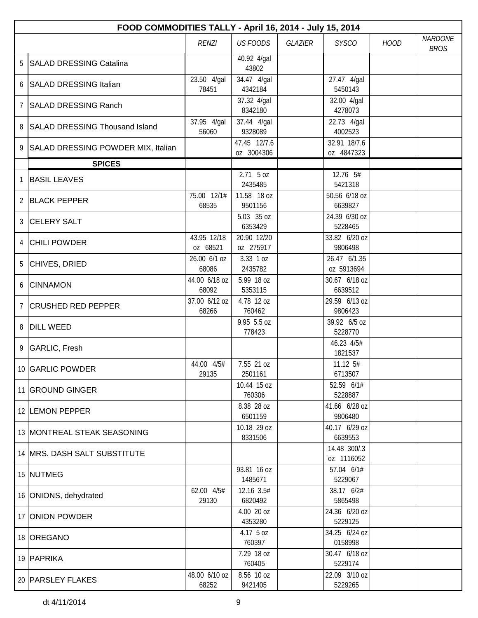|                | FOOD COMMODITIES TALLY - April 16, 2014 - July 15, 2014 |                         |                            |                |                            |             |                               |  |  |  |
|----------------|---------------------------------------------------------|-------------------------|----------------------------|----------------|----------------------------|-------------|-------------------------------|--|--|--|
|                |                                                         | <b>RENZI</b>            | <b>US FOODS</b>            | <b>GLAZIER</b> | <b>SYSCO</b>               | <b>HOOD</b> | <b>NARDONE</b><br><b>BROS</b> |  |  |  |
| 5              | SALAD DRESSING Catalina                                 |                         | 40.92 4/gal<br>43802       |                |                            |             |                               |  |  |  |
| 6              | SALAD DRESSING Italian                                  | 23.50 4/gal<br>78451    | 34.47 4/gal<br>4342184     |                | 27.47 4/gal<br>5450143     |             |                               |  |  |  |
| $\overline{7}$ | <b>SALAD DRESSING Ranch</b>                             |                         | 37.32 4/gal<br>8342180     |                | 32.00 4/gal<br>4278073     |             |                               |  |  |  |
| 8              | SALAD DRESSING Thousand Island                          | 37.95 4/gal<br>56060    | 37.44 4/gal<br>9328089     |                | 22.73 4/gal<br>4002523     |             |                               |  |  |  |
| 9              | SALAD DRESSING POWDER MIX, Italian                      |                         | 47.45 12/7.6<br>oz 3004306 |                | 32.91 18/7.6<br>oz 4847323 |             |                               |  |  |  |
|                | <b>SPICES</b>                                           |                         |                            |                |                            |             |                               |  |  |  |
| 1              | <b>BASIL LEAVES</b>                                     |                         | $2.71$ 5 oz<br>2435485     |                | 12.76 5#<br>5421318        |             |                               |  |  |  |
|                | 2 BLACK PEPPER                                          | 75.00 12/1#<br>68535    | 11.58 18 oz<br>9501156     |                | 50.56 6/18 oz<br>6639827   |             |                               |  |  |  |
| 3              | <b>CELERY SALT</b>                                      |                         | 5.03 35 oz<br>6353429      |                | 24.39 6/30 oz<br>5228465   |             |                               |  |  |  |
| 4              | <b>CHILI POWDER</b>                                     | 43.95 12/18<br>oz 68521 | 20.90 12/20<br>oz 275917   |                | 33.82 6/20 oz<br>9806498   |             |                               |  |  |  |
|                | 5 CHIVES, DRIED                                         | 26.00 6/1 oz<br>68086   | 3.33 1 oz<br>2435782       |                | 26.47 6/1.35<br>oz 5913694 |             |                               |  |  |  |
| 6              | <b>CINNAMON</b>                                         | 44.00 6/18 oz<br>68092  | 5.99 18 oz<br>5353115      |                | 30.67 6/18 oz<br>6639512   |             |                               |  |  |  |
| $\overline{7}$ | <b>CRUSHED RED PEPPER</b>                               | 37.00 6/12 oz<br>68266  | 4.78 12 oz<br>760462       |                | 29.59 6/13 oz<br>9806423   |             |                               |  |  |  |
| 8              | <b>DILL WEED</b>                                        |                         | 9.95 5.5 oz<br>778423      |                | 39.92 6/5 oz<br>5228770    |             |                               |  |  |  |
|                | 9 GARLIC, Fresh                                         |                         |                            |                | 46.23 4/5#<br>1821537      |             |                               |  |  |  |
|                | 10 GARLIC POWDER                                        | 44.00 4/5#<br>29135     | 7.55 21 oz<br>2501161      |                | 11.12 5#<br>6713507        |             |                               |  |  |  |
|                | 11 GROUND GINGER                                        |                         | 10.44 15 oz<br>760306      |                | 52.59 6/1#<br>5228887      |             |                               |  |  |  |
|                | 12 LEMON PEPPER                                         |                         | 8.38 28 oz<br>6501159      |                | 41.66 6/28 oz<br>9806480   |             |                               |  |  |  |
|                | 13   MONTREAL STEAK SEASONING                           |                         | 10.18 29 oz<br>8331506     |                | 40.17 6/29 oz<br>6639553   |             |                               |  |  |  |
|                | 14 MRS. DASH SALT SUBSTITUTE                            |                         |                            |                | 14.48 300/.3<br>oz 1116052 |             |                               |  |  |  |
|                | 15 NUTMEG                                               |                         | 93.81 16 oz<br>1485671     |                | 57.04 6/1#<br>5229067      |             |                               |  |  |  |
|                | 16 ONIONS, dehydrated                                   | 62.00 4/5#<br>29130     | 12.16 3.5#<br>6820492      |                | 38.17 6/2#<br>5865498      |             |                               |  |  |  |
|                | 17 ONION POWDER                                         |                         | 4.00 20 oz<br>4353280      |                | 24.36 6/20 oz<br>5229125   |             |                               |  |  |  |
|                | 18 OREGANO                                              |                         | 4.17 5 oz<br>760397        |                | 34.25 6/24 oz<br>0158998   |             |                               |  |  |  |
|                | 19 PAPRIKA                                              |                         | 7.29 18 oz<br>760405       |                | 30.47 6/18 oz<br>5229174   |             |                               |  |  |  |
|                | 20 PARSLEY FLAKES                                       | 48.00 6/10 oz<br>68252  | 8.56 10 oz<br>9421405      |                | 22.09 3/10 oz<br>5229265   |             |                               |  |  |  |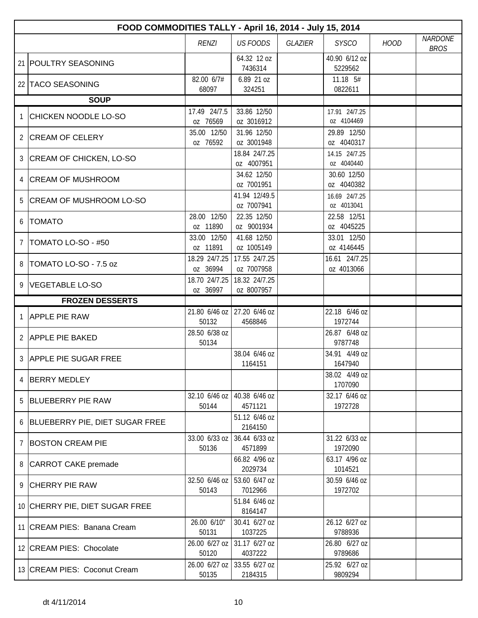|                | FOOD COMMODITIES TALLY - April 16, 2014 - July 15, 2014 |                           |                                          |                |                             |             |                               |  |  |  |
|----------------|---------------------------------------------------------|---------------------------|------------------------------------------|----------------|-----------------------------|-------------|-------------------------------|--|--|--|
|                |                                                         | <b>RENZI</b>              | <b>US FOODS</b>                          | <b>GLAZIER</b> | <b>SYSCO</b>                | <b>HOOD</b> | <b>NARDONE</b><br><b>BROS</b> |  |  |  |
|                | 21 POULTRY SEASONING                                    |                           | 64.32 12 oz<br>7436314                   |                | 40.90 6/12 oz<br>5229562    |             |                               |  |  |  |
|                | 22 TACO SEASONING                                       | 82.00 6/7#<br>68097       | 6.89 21 oz<br>324251                     |                | 11.18 5#<br>0822611         |             |                               |  |  |  |
|                | <b>SOUP</b>                                             |                           |                                          |                |                             |             |                               |  |  |  |
|                | <b>CHICKEN NOODLE LO-SO</b>                             | 17.49 24/7.5<br>oz 76569  | 33.86 12/50<br>oz 3016912                |                | 17.91 24/7.25<br>oz 4104469 |             |                               |  |  |  |
|                | 2 CREAM OF CELERY                                       | 35.00 12/50<br>oz 76592   | 31.96 12/50<br>oz 3001948                |                | 29.89 12/50<br>oz 4040317   |             |                               |  |  |  |
| 3              | CREAM OF CHICKEN, LO-SO                                 |                           | 18.84 24/7.25<br>oz 4007951              |                | 14.15 24/7.25<br>oz 4040440 |             |                               |  |  |  |
| 4              | <b>CREAM OF MUSHROOM</b>                                |                           | 34.62 12/50<br>oz 7001951                |                | 30.60 12/50<br>oz 4040382   |             |                               |  |  |  |
| 5              | <b>CREAM OF MUSHROOM LO-SO</b>                          |                           | 41.94 12/49.5<br>oz 7007941              |                | 16.69 24/7.25<br>oz 4013041 |             |                               |  |  |  |
| 6              | <b>TOMATO</b>                                           | 28.00 12/50<br>oz 11890   | 22.35 12/50<br>oz 9001934                |                | 22.58 12/51<br>oz 4045225   |             |                               |  |  |  |
| 7              | TOMATO LO-SO - #50                                      | 33.00 12/50<br>oz 11891   | 41.68 12/50<br>oz 1005149                |                | 33.01 12/50<br>oz 4146445   |             |                               |  |  |  |
| 8              | TOMATO LO-SO - 7.5 oz                                   | 18.29 24/7.25<br>oz 36994 | 17.55 24/7.25<br>oz 7007958              |                | 16.61 24/7.25<br>oz 4013066 |             |                               |  |  |  |
| 9              | <b>VEGETABLE LO-SO</b>                                  | 18.70 24/7.25<br>oz 36997 | 18.32 24/7.25<br>oz 8007957              |                |                             |             |                               |  |  |  |
|                | <b>FROZEN DESSERTS</b>                                  |                           |                                          |                |                             |             |                               |  |  |  |
| 1              | <b>APPLE PIE RAW</b>                                    | 50132                     | 21.80 6/46 oz 27.20 6/46 oz<br>4568846   |                | 22.18 6/46 oz<br>1972744    |             |                               |  |  |  |
|                | 2 APPLE PIE BAKED                                       | 28.50 6/38 oz<br>50134    |                                          |                | 26.87 6/48 oz<br>9787748    |             |                               |  |  |  |
|                | 3 APPLE PIE SUGAR FREE                                  |                           | 38.04 6/46 oz<br>1164151                 |                | 34.91 4/49 oz<br>1647940    |             |                               |  |  |  |
|                | <b>BERRY MEDLEY</b>                                     |                           |                                          |                | 38.02 4/49 oz<br>1707090    |             |                               |  |  |  |
|                | 5 BLUEBERRY PIE RAW                                     | 50144                     | 32.10 6/46 oz   40.38 6/46 oz<br>4571121 |                | 32.17 6/46 oz<br>1972728    |             |                               |  |  |  |
|                | 6 BLUEBERRY PIE, DIET SUGAR FREE                        |                           | 51.12 6/46 oz<br>2164150                 |                |                             |             |                               |  |  |  |
| $\overline{7}$ | <b>BOSTON CREAM PIE</b>                                 | 33.00 6/33 oz<br>50136    | 36.44 6/33 oz<br>4571899                 |                | 31.22 6/33 oz<br>1972090    |             |                               |  |  |  |
|                | 8 CARROT CAKE premade                                   |                           | 66.82 4/96 oz<br>2029734                 |                | 63.17 4/96 oz<br>1014521    |             |                               |  |  |  |
|                | 9 CHERRY PIE RAW                                        | 50143                     | 32.50 6/46 oz 53.60 6/47 oz<br>7012966   |                | 30.59 6/46 oz<br>1972702    |             |                               |  |  |  |
|                | 10 CHERRY PIE, DIET SUGAR FREE                          |                           | 51.84 6/46 oz<br>8164147                 |                |                             |             |                               |  |  |  |
|                | 11 CREAM PIES: Banana Cream                             | 26.00 6/10"<br>50131      | 30.41 6/27 oz<br>1037225                 |                | 26.12 6/27 oz<br>9788936    |             |                               |  |  |  |
|                | 12 CREAM PIES: Chocolate                                | 26.00 6/27 oz<br>50120    | 31.17 6/27 oz<br>4037222                 |                | 26.80 6/27 oz<br>9789686    |             |                               |  |  |  |
|                | 13 CREAM PIES: Coconut Cream                            | 26.00 6/27 oz<br>50135    | 33.55 6/27 oz<br>2184315                 |                | 25.92 6/27 oz<br>9809294    |             |                               |  |  |  |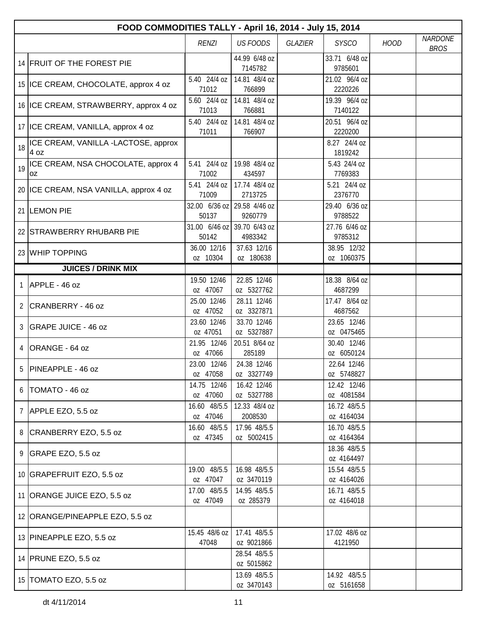|              | FOOD COMMODITIES TALLY - April 16, 2014 - July 15, 2014 |                                      |                            |                |                            |             |                               |  |  |  |
|--------------|---------------------------------------------------------|--------------------------------------|----------------------------|----------------|----------------------------|-------------|-------------------------------|--|--|--|
|              |                                                         | <b>RENZI</b>                         | <b>US FOODS</b>            | <b>GLAZIER</b> | <b>SYSCO</b>               | <b>HOOD</b> | <b>NARDONE</b><br><b>BROS</b> |  |  |  |
|              | 14 FRUIT OF THE FOREST PIE                              |                                      | 44.99 6/48 oz<br>7145782   |                | 33.71 6/48 oz<br>9785601   |             |                               |  |  |  |
|              | 15 ICE CREAM, CHOCOLATE, approx 4 oz                    | 5.40 24/4 oz<br>71012                | 14.81 48/4 oz<br>766899    |                | 21.02 96/4 oz<br>2220226   |             |                               |  |  |  |
|              | 16 ICE CREAM, STRAWBERRY, approx 4 oz                   | 5.60 24/4 oz<br>71013                | 14.81 48/4 oz<br>766881    |                | 19.39 96/4 oz<br>7140122   |             |                               |  |  |  |
|              | 17   ICE CREAM, VANILLA, approx 4 oz                    | 5.40 24/4 oz<br>71011                | 14.81 48/4 oz<br>766907    |                | 20.51 96/4 oz<br>2220200   |             |                               |  |  |  |
| 18           | ICE CREAM, VANILLA -LACTOSE, approx<br>4 oz             |                                      |                            |                | 8.27 24/4 oz<br>1819242    |             |                               |  |  |  |
| 19           | ICE CREAM, NSA CHOCOLATE, approx 4<br>0Z                | 5.41 24/4 oz<br>71002                | 19.98 48/4 oz<br>434597    |                | 5.43 24/4 oz<br>7769383    |             |                               |  |  |  |
|              | 20 ICE CREAM, NSA VANILLA, approx 4 oz                  | 5.41 24/4 oz<br>71009                | 17.74 48/4 oz<br>2713725   |                | 5.21 24/4 oz<br>2376770    |             |                               |  |  |  |
|              | 21 LEMON PIE                                            | 32.00 6/36 oz 29.58 4/46 oz<br>50137 | 9260779                    |                | 29.40 6/36 oz<br>9788522   |             |                               |  |  |  |
|              | 22 STRAWBERRY RHUBARB PIE                               | 31.00 6/46 oz 39.70 6/43 oz<br>50142 | 4983342                    |                | 27.76 6/46 oz<br>9785312   |             |                               |  |  |  |
|              | 23 WHIP TOPPING                                         | 36.00 12/16<br>oz 10304              | 37.63 12/16<br>oz 180638   |                | 38.95 12/32<br>oz 1060375  |             |                               |  |  |  |
|              | <b>JUICES / DRINK MIX</b>                               |                                      |                            |                |                            |             |                               |  |  |  |
| $\mathbf{1}$ | APPLE - 46 oz                                           | 19.50 12/46                          | 22.85 12/46                |                | 18.38 8/64 oz              |             |                               |  |  |  |
|              |                                                         | oz 47067<br>25.00 12/46              | oz 5327762<br>28.11 12/46  |                | 4687299<br>17.47 8/64 oz   |             |                               |  |  |  |
| 2            | CRANBERRY - 46 oz                                       | oz 47052                             | oz 3327871                 |                | 4687562                    |             |                               |  |  |  |
| 3            | GRAPE JUICE - 46 oz                                     | 23.60 12/46<br>oz 47051              | 33.70 12/46<br>oz 5327887  |                | 23.65 12/46<br>oz 0475465  |             |                               |  |  |  |
| 4            | ORANGE - 64 oz                                          | 21.95 12/46<br>oz 47066              | 20.51 8/64 oz<br>285189    |                | 30.40 12/46<br>oz 6050124  |             |                               |  |  |  |
|              | 5 PINEAPPLE - 46 oz                                     | 23.00 12/46<br>oz 47058              | 24.38 12/46<br>oz 3327749  |                | 22.64 12/46<br>oz 5748827  |             |                               |  |  |  |
| 6            | TOMATO - 46 oz                                          | 14.75 12/46<br>oz 47060              | 16.42 12/46<br>oz 5327788  |                | 12.42 12/46<br>oz 4081584  |             |                               |  |  |  |
|              | 7 APPLE EZO, 5.5 oz                                     | 16.60 48/5.5<br>oz 47046             | 12.33 48/4 oz<br>2008530   |                | 16.72 48/5.5<br>oz 4164034 |             |                               |  |  |  |
|              | 8 CRANBERRY EZO, 5.5 oz                                 | 16.60 48/5.5<br>oz 47345             | 17.96 48/5.5<br>oz 5002415 |                | 16.70 48/5.5<br>oz 4164364 |             |                               |  |  |  |
|              | 9 GRAPE EZO, 5.5 oz                                     |                                      |                            |                | 18.36 48/5.5<br>oz 4164497 |             |                               |  |  |  |
|              | 10 GRAPEFRUIT EZO, 5.5 oz                               | 19.00 48/5.5<br>oz 47047             | 16.98 48/5.5<br>oz 3470119 |                | 15.54 48/5.5<br>oz 4164026 |             |                               |  |  |  |
|              | 11 ORANGE JUICE EZO, 5.5 oz                             | 17.00 48/5.5<br>oz 47049             | 14.95 48/5.5<br>oz 285379  |                | 16.71 48/5.5<br>oz 4164018 |             |                               |  |  |  |
|              | 12 ORANGE/PINEAPPLE EZO, 5.5 oz                         |                                      |                            |                |                            |             |                               |  |  |  |
|              | 13 PINEAPPLE EZO, 5.5 oz                                | 15.45 48/6 oz<br>47048               | 17.41 48/5.5<br>oz 9021866 |                | 17.02 48/6 oz<br>4121950   |             |                               |  |  |  |
|              | 14 PRUNE EZO, 5.5 oz                                    |                                      | 28.54 48/5.5<br>oz 5015862 |                |                            |             |                               |  |  |  |
|              | 15   TOMATO EZO, 5.5 oz                                 |                                      | 13.69 48/5.5<br>oz 3470143 |                | 14.92 48/5.5<br>oz 5161658 |             |                               |  |  |  |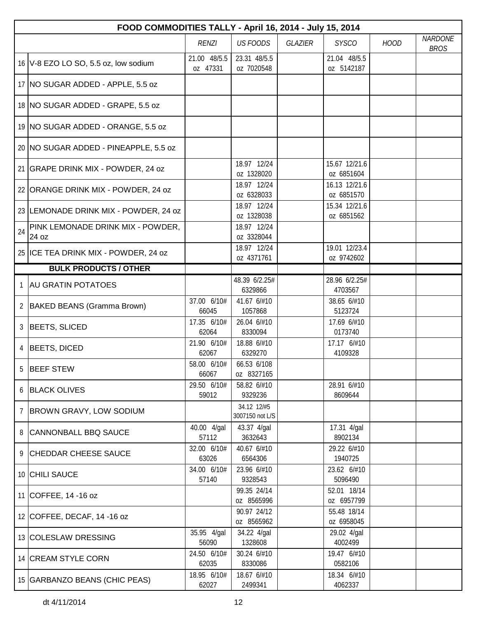|                | FOOD COMMODITIES TALLY - April 16, 2014 - July 15, 2014 |                          |                                |         |                             |             |                               |  |  |  |
|----------------|---------------------------------------------------------|--------------------------|--------------------------------|---------|-----------------------------|-------------|-------------------------------|--|--|--|
|                |                                                         | <b>RENZI</b>             | <b>US FOODS</b>                | GLAZIER | <b>SYSCO</b>                | <b>HOOD</b> | <b>NARDONE</b><br><b>BROS</b> |  |  |  |
|                | 16 V-8 EZO LO SO, 5.5 oz, low sodium                    | 21.00 48/5.5<br>oz 47331 | 23.31 48/5.5<br>oz 7020548     |         | 21.04 48/5.5<br>oz 5142187  |             |                               |  |  |  |
|                | 17   NO SUGAR ADDED - APPLE, 5.5 oz                     |                          |                                |         |                             |             |                               |  |  |  |
|                | 18 NO SUGAR ADDED - GRAPE, 5.5 oz                       |                          |                                |         |                             |             |                               |  |  |  |
|                | 19 NO SUGAR ADDED - ORANGE, 5.5 oz                      |                          |                                |         |                             |             |                               |  |  |  |
|                | 20 NO SUGAR ADDED - PINEAPPLE, 5.5 oz                   |                          |                                |         |                             |             |                               |  |  |  |
|                | 21 GRAPE DRINK MIX - POWDER, 24 oz                      |                          | 18.97 12/24<br>oz 1328020      |         | 15.67 12/21.6<br>oz 6851604 |             |                               |  |  |  |
|                | 22 ORANGE DRINK MIX - POWDER, 24 oz                     |                          | 18.97 12/24<br>oz 6328033      |         | 16.13 12/21.6<br>oz 6851570 |             |                               |  |  |  |
|                | 23 LEMONADE DRINK MIX - POWDER, 24 oz                   |                          | 18.97 12/24<br>oz 1328038      |         | 15.34 12/21.6<br>oz 6851562 |             |                               |  |  |  |
| 24             | PINK LEMONADE DRINK MIX - POWDER,<br>24 oz              |                          | 18.97 12/24<br>oz 3328044      |         |                             |             |                               |  |  |  |
|                | 25 ICE TEA DRINK MIX - POWDER, 24 oz                    |                          | 18.97 12/24<br>oz 4371761      |         | 19.01 12/23.4<br>oz 9742602 |             |                               |  |  |  |
|                | <b>BULK PRODUCTS / OTHER</b>                            |                          |                                |         |                             |             |                               |  |  |  |
| $\mathbf{1}$   | <b>AU GRATIN POTATOES</b>                               |                          | 48.39 6/2.25#<br>6329866       |         | 28.96 6/2.25#<br>4703567    |             |                               |  |  |  |
| $\overline{2}$ | BAKED BEANS (Gramma Brown)                              | 37.00 6/10#<br>66045     | 41.67 6/#10<br>1057868         |         | 38.65 6/#10<br>5123724      |             |                               |  |  |  |
| 3              | BEETS, SLICED                                           | 17.35 6/10#<br>62064     | 26.04 6/#10<br>8330094         |         | 17.69 6/#10<br>0173740      |             |                               |  |  |  |
| 4              | <b>BEETS, DICED</b>                                     | 21.90 6/10#<br>62067     | 18.88 6/#10<br>6329270         |         | 17.17 6/#10<br>4109328      |             |                               |  |  |  |
| 5              | <b>BEEF STEW</b>                                        | 58.00 6/10#<br>66067     | 66.53 6/108<br>oz 8327165      |         |                             |             |                               |  |  |  |
|                | 6 BLACK OLIVES                                          | 29.50 6/10#<br>59012     | 58.82 6/#10<br>9329236         |         | 28.91 6/#10<br>8609644      |             |                               |  |  |  |
|                | 7 BROWN GRAVY, LOW SODIUM                               |                          | 34.12 12/#5<br>3007150 not L/S |         |                             |             |                               |  |  |  |
|                | 8 CANNONBALL BBQ SAUCE                                  | 40.00 4/gal<br>57112     | 43.37 4/gal<br>3632643         |         | 17.31 4/gal<br>8902134      |             |                               |  |  |  |
| 9.             | <b>CHEDDAR CHEESE SAUCE</b>                             | 32.00 6/10#<br>63026     | 40.67 6/#10<br>6564306         |         | 29.22 6/#10<br>1940725      |             |                               |  |  |  |
|                | 10 CHILI SAUCE                                          | 34.00 6/10#<br>57140     | 23.96 6/#10<br>9328543         |         | 23.62 6/#10<br>5096490      |             |                               |  |  |  |
|                | 11 COFFEE, 14 -16 oz                                    |                          | 99.35 24/14<br>oz 8565996      |         | 52.01 18/14<br>oz 6957799   |             |                               |  |  |  |
|                | 12 COFFEE, DECAF, 14 -16 oz                             |                          | 90.97 24/12<br>oz 8565962      |         | 55.48 18/14<br>oz 6958045   |             |                               |  |  |  |
|                | 13 COLESLAW DRESSING                                    | 35.95 4/gal<br>56090     | 34.22 4/gal<br>1328608         |         | 29.02 4/gal<br>4002499      |             |                               |  |  |  |
|                | 14 CREAM STYLE CORN                                     | 24.50 6/10#<br>62035     | 30.24 6/#10<br>8330086         |         | 19.47 6/#10<br>0582106      |             |                               |  |  |  |
|                | 15 GARBANZO BEANS (CHIC PEAS)                           | 18.95 6/10#<br>62027     | 18.67 6/#10<br>2499341         |         | 18.34 6/#10<br>4062337      |             |                               |  |  |  |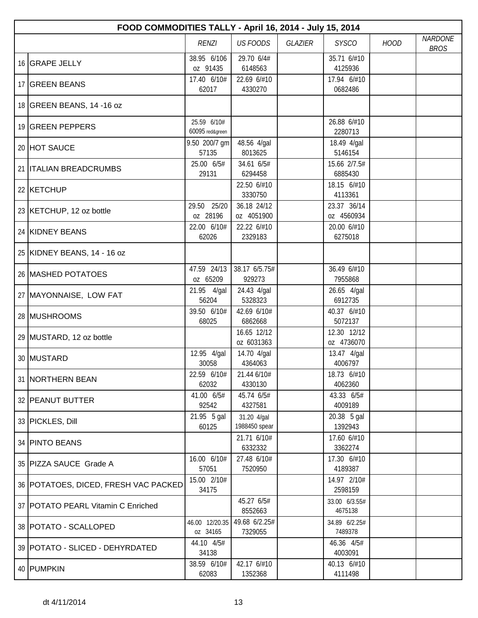| FOOD COMMODITIES TALLY - April 16, 2014 - July 15, 2014 |                                |                              |                |                           |             |                               |  |  |
|---------------------------------------------------------|--------------------------------|------------------------------|----------------|---------------------------|-------------|-------------------------------|--|--|
|                                                         | <b>RENZI</b>                   | <b>US FOODS</b>              | <b>GLAZIER</b> | <b>SYSCO</b>              | <b>HOOD</b> | <b>NARDONE</b><br><b>BROS</b> |  |  |
| 16 GRAPE JELLY                                          | 38.95 6/106<br>oz 91435        | 29.70 6/4#<br>6148563        |                | 35.71 6/#10<br>4125936    |             |                               |  |  |
| 17 GREEN BEANS                                          | 17.40 6/10#<br>62017           | 22.69 6/#10<br>4330270       |                | 17.94 6/#10<br>0682486    |             |                               |  |  |
| 18 GREEN BEANS, 14 -16 oz                               |                                |                              |                |                           |             |                               |  |  |
| 19 GREEN PEPPERS                                        | 25.59 6/10#<br>60095 red&green |                              |                | 26.88 6/#10<br>2280713    |             |                               |  |  |
| 20 HOT SAUCE                                            | 9.50 200/7 gm<br>57135         | 48.56 4/gal<br>8013625       |                | 18.49 4/gal<br>5146154    |             |                               |  |  |
| 21 <b>ITALIAN BREADCRUMBS</b>                           | 25.00 6/5#<br>29131            | 34.61 6/5#<br>6294458        |                | 15.66 2/7.5#<br>6885430   |             |                               |  |  |
| 22 KETCHUP                                              |                                | 22.50 6/#10<br>3330750       |                | 18.15 6/#10<br>4113361    |             |                               |  |  |
| 23 KETCHUP, 12 oz bottle                                | 29.50 25/20<br>oz 28196        | 36.18 24/12<br>oz 4051900    |                | 23.37 36/14<br>oz 4560934 |             |                               |  |  |
| 24 KIDNEY BEANS                                         | 22.00 6/10#<br>62026           | 22.22 6/#10<br>2329183       |                | 20.00 6/#10<br>6275018    |             |                               |  |  |
| 25 KIDNEY BEANS, 14 - 16 oz                             |                                |                              |                |                           |             |                               |  |  |
| 26 MASHED POTATOES                                      | 47.59 24/13<br>oz 65209        | 38.17 6/5.75#<br>929273      |                | 36.49 6/#10<br>7955868    |             |                               |  |  |
| 27   MAYONNAISE, LOW FAT                                | 21.95 4/gal<br>56204           | 24.43 4/gal<br>5328323       |                | 26.65 4/gal<br>6912735    |             |                               |  |  |
| 28 MUSHROOMS                                            | 39.50 6/10#<br>68025           | 42.69 6/10#<br>6862668       |                | 40.37 6/#10<br>5072137    |             |                               |  |  |
| 29 MUSTARD, 12 oz bottle                                |                                | 16.65 12/12<br>oz 6031363    |                | 12.30 12/12<br>oz 4736070 |             |                               |  |  |
| 30 MUSTARD                                              | 12.95 4/gal<br>30058           | 14.70 4/gal<br>4364063       |                | 13.47 4/gal<br>4006797    |             |                               |  |  |
| 31 INORTHERN BEAN                                       | 22.59 6/10#<br>62032           | 21.44 6/10#<br>4330130       |                | 18.73 6/#10<br>4062360    |             |                               |  |  |
| 32 PEANUT BUTTER                                        | 41.00 6/5#<br>92542            | 45.74 6/5#<br>4327581        |                | 43.33 6/5#<br>4009189     |             |                               |  |  |
| 33 PICKLES, Dill                                        | 21.95 5 gal<br>60125           | 31.20 4/gal<br>1988450 spear |                | 20.38 5 gal<br>1392943    |             |                               |  |  |
| 34 PINTO BEANS                                          |                                | 21.71 6/10#<br>6332332       |                | 17.60 6/#10<br>3362274    |             |                               |  |  |
| 35 PIZZA SAUCE Grade A                                  | 16.00 6/10#<br>57051           | 27.48 6/10#<br>7520950       |                | 17.30 6/#10<br>4189387    |             |                               |  |  |
| 36 POTATOES, DICED, FRESH VAC PACKED                    | 15.00 2/10#<br>34175           |                              |                | 14.97 2/10#<br>2598159    |             |                               |  |  |
| 37   POTATO PEARL Vitamin C Enriched                    |                                | 45.27 6/5#<br>8552663        |                | 33.00 6/3.55#<br>4675138  |             |                               |  |  |
| 38   POTATO - SCALLOPED                                 | 46.00 12/20.35<br>oz 34165     | 49.68 6/2.25#<br>7329055     |                | 34.89 6/2.25#<br>7489378  |             |                               |  |  |
| 39   POTATO - SLICED - DEHYRDATED                       | 44.10 4/5#<br>34138            |                              |                | 46.36 4/5#<br>4003091     |             |                               |  |  |
| 40 PUMPKIN                                              | 38.59 6/10#<br>62083           | 42.17 6/#10<br>1352368       |                | 40.13 6/#10<br>4111498    |             |                               |  |  |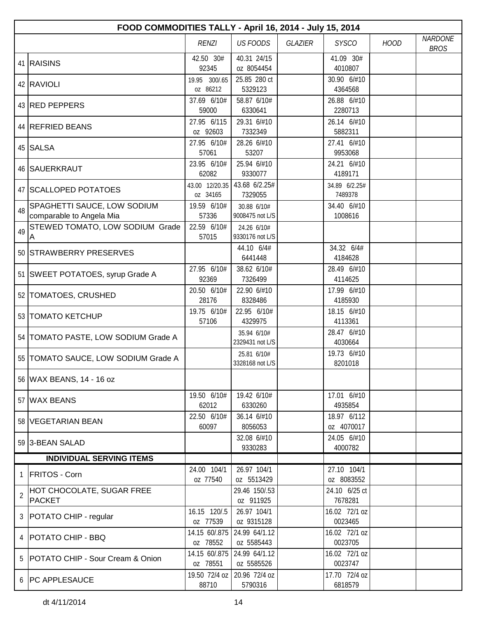|                | FOOD COMMODITIES TALLY - April 16, 2014 - July 15, 2014 |                            |                                |                |                           |             |                               |  |  |
|----------------|---------------------------------------------------------|----------------------------|--------------------------------|----------------|---------------------------|-------------|-------------------------------|--|--|
|                |                                                         | <b>RENZI</b>               | <b>US FOODS</b>                | <b>GLAZIER</b> | <b>SYSCO</b>              | <b>HOOD</b> | <b>NARDONE</b><br><b>BROS</b> |  |  |
|                | 41 RAISINS                                              | 42.50 30#<br>92345         | 40.31 24/15<br>oz 8054454      |                | 41.09 30#<br>4010807      |             |                               |  |  |
|                | 42 RAVIOLI                                              | 19.95 300/.65<br>oz 86212  | 25.85 280 ct<br>5329123        |                | 30.90 6/#10<br>4364568    |             |                               |  |  |
|                | 43 RED PEPPERS                                          | 37.69 6/10#<br>59000       | 58.87 6/10#<br>6330641         |                | 26.88 6/#10<br>2280713    |             |                               |  |  |
|                | 44 REFRIED BEANS                                        | 27.95 6/115<br>oz 92603    | 29.31 6/#10<br>7332349         |                | 26.14 6/#10<br>5882311    |             |                               |  |  |
|                | 45 SALSA                                                | 27.95 6/10#<br>57061       | 28.26 6/#10<br>53207           |                | 27.41 6/#10<br>9953068    |             |                               |  |  |
|                | 46 SAUERKRAUT                                           | 23.95 6/10#<br>62082       | 25.94 6/#10<br>9330077         |                | 24.21 6/#10<br>4189171    |             |                               |  |  |
|                | 47 SCALLOPED POTATOES                                   | 43.00 12/20.35<br>oz 34165 | 43.68 6/2.25#<br>7329055       |                | 34.89 6/2.25#<br>7489378  |             |                               |  |  |
| 48             | SPAGHETTI SAUCE, LOW SODIUM<br>comparable to Angela Mia | 19.59 6/10#<br>57336       | 30.88 6/10#<br>9008475 not L/S |                | 34.40 6/#10<br>1008616    |             |                               |  |  |
| 49             | STEWED TOMATO, LOW SODIUM Grade<br>Α                    | 22.59 6/10#<br>57015       | 24.26 6/10#<br>9330176 not L/S |                |                           |             |                               |  |  |
|                | 50 STRAWBERRY PRESERVES                                 |                            | 44.10 6/4#<br>6441448          |                | 34.32 6/4#<br>4184628     |             |                               |  |  |
|                | 51 SWEET POTATOES, syrup Grade A                        | 27.95 6/10#<br>92369       | 38.62 6/10#<br>7326499         |                | 28.49 6/#10<br>4114625    |             |                               |  |  |
|                | 52 TOMATOES, CRUSHED                                    | 20.50 6/10#<br>28176       | 22.90 6/#10<br>8328486         |                | 17.99 6/#10<br>4185930    |             |                               |  |  |
|                | 53 TOMATO KETCHUP                                       | 19.75 6/10#<br>57106       | 22.95 6/10#<br>4329975         |                | 18.15 6/#10<br>4113361    |             |                               |  |  |
|                | 54   TOMATO PASTE, LOW SODIUM Grade A                   |                            | 35.94 6/10#<br>2329431 not L/S |                | 28.47 6/#10<br>4030664    |             |                               |  |  |
|                | 55   TOMATO SAUCE, LOW SODIUM Grade A                   |                            | 25.81 6/10#<br>3328168 not L/S |                | 19.73 6/#10<br>8201018    |             |                               |  |  |
|                | 56 WAX BEANS, 14 - 16 oz                                |                            |                                |                |                           |             |                               |  |  |
|                | 57 WAX BEANS                                            | 19.50 6/10#<br>62012       | 19.42 6/10#<br>6330260         |                | 17.01 6/#10<br>4935854    |             |                               |  |  |
|                | 58 VEGETARIAN BEAN                                      | 22.50 6/10#<br>60097       | 36.14 6/#10<br>8056053         |                | 18.97 6/112<br>oz 4070017 |             |                               |  |  |
|                | 59 3-BEAN SALAD                                         |                            | 32.08 6/#10<br>9330283         |                | 24.05 6/#10<br>4000782    |             |                               |  |  |
|                | <b>INDIVIDUAL SERVING ITEMS</b>                         |                            |                                |                |                           |             |                               |  |  |
| 1              | <b>FRITOS - Corn</b>                                    | 24.00 104/1<br>oz 77540    | 26.97 104/1<br>oz 5513429      |                | 27.10 104/1<br>oz 8083552 |             |                               |  |  |
| $\overline{2}$ | HOT CHOCOLATE, SUGAR FREE<br><b>PACKET</b>              |                            | 29.46 150/.53<br>oz 911925     |                | 24.10 6/25 ct<br>7678281  |             |                               |  |  |
|                | 3   POTATO CHIP - regular                               | 16.15 120/.5<br>oz 77539   | 26.97 104/1<br>oz 9315128      |                | 16.02 72/1 oz<br>0023465  |             |                               |  |  |
|                | 4   POTATO CHIP - BBQ                                   | 14.15 60/.875<br>oz 78552  | 24.99 64/1.12<br>oz 5585443    |                | 16.02 72/1 oz<br>0023705  |             |                               |  |  |
|                | 5   POTATO CHIP - Sour Cream & Onion                    | 14.15 60/.875<br>oz 78551  | 24.99 64/1.12<br>oz 5585526    |                | 16.02 72/1 oz<br>0023747  |             |                               |  |  |
|                | 6   PC APPLESAUCE                                       | 19.50 72/4 oz<br>88710     | 20.96 72/4 oz<br>5790316       |                | 17.70 72/4 oz<br>6818579  |             |                               |  |  |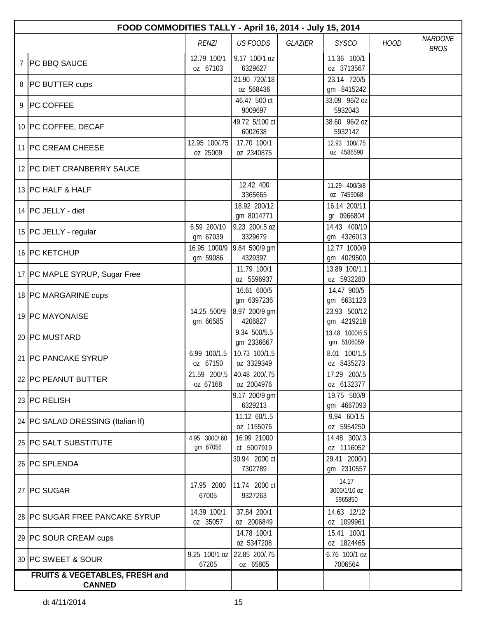|   | FOOD COMMODITIES TALLY - April 16, 2014 - July 15, 2014 |                           |                             |         |                                  |             |                               |  |
|---|---------------------------------------------------------|---------------------------|-----------------------------|---------|----------------------------------|-------------|-------------------------------|--|
|   |                                                         | <b>RENZI</b>              | <b>US FOODS</b>             | GLAZIER | <b>SYSCO</b>                     | <b>HOOD</b> | <b>NARDONE</b><br><b>BROS</b> |  |
| 7 | <b>PC BBQ SAUCE</b>                                     | 12.79 100/1<br>oz 67103   | 9.17 100/1 oz<br>6329627    |         | 11.36 100/1<br>oz 3713567        |             |                               |  |
| 8 | <b>PC BUTTER cups</b>                                   |                           | 21.90 720/.18<br>oz 568436  |         | 23.14 720/5<br>gm 8415242        |             |                               |  |
|   | 9 PC COFFEE                                             |                           | 46.47 500 ct<br>9009697     |         | 33.09 96/2 oz<br>5932043         |             |                               |  |
|   | 10 PC COFFEE, DECAF                                     |                           | 49.72 5/100 ct<br>6002638   |         | 38.60 96/2 oz<br>5932142         |             |                               |  |
|   | 11   PC CREAM CHEESE                                    | 12.95 100/.75<br>oz 25009 | 17.70 100/1<br>oz 2340875   |         | 12.93 100/.75<br>oz 4586590      |             |                               |  |
|   | 12 PC DIET CRANBERRY SAUCE                              |                           |                             |         |                                  |             |                               |  |
|   | 13 PC HALF & HALF                                       |                           | 12.42 400<br>3365665        |         | 11.29 400/3/8<br>oz 7459068      |             |                               |  |
|   | 14 PC JELLY - diet                                      |                           | 18.92 200/12<br>gm 8014771  |         | 16.14 200/11<br>gr 0966804       |             |                               |  |
|   | 15 PC JELLY - regular                                   | 6.59 200/10<br>gm 67039   | 9.23 200/.5 oz<br>3329679   |         | 14.43 400/10<br>gm 4326013       |             |                               |  |
|   | 16 PC KETCHUP                                           | 16.95 1000/9<br>gm 59086  | 9.84 500/9 gm<br>4329397    |         | 12.77 1000/9<br>gm 4029500       |             |                               |  |
|   | 17 PC MAPLE SYRUP, Sugar Free                           |                           | 11.79 100/1<br>oz 5596937   |         | 13.89 100/1.1<br>oz 5932280      |             |                               |  |
|   | 18 PC MARGARINE cups                                    |                           | 16.61 600/5<br>gm 6397236   |         | 14.47 900/5<br>gm 6631123        |             |                               |  |
|   | 19 PC MAYONAISE                                         | 14.25 500/9<br>gm 66585   | 8.97 200/9 gm<br>4206827    |         | 23.93 500/12<br>gm 4219218       |             |                               |  |
|   | 20 PC MUSTARD                                           |                           | 9.34 500/5.5<br>gm 2336667  |         | 13.48 1000/5.5<br>gm 5106059     |             |                               |  |
|   | 21 PC PANCAKE SYRUP                                     | 6.99 100/1.5<br>oz 67150  | 10.73 100/1.5<br>oz 3329349 |         | 8.01 100/1.5<br>oz 8435273       |             |                               |  |
|   | 22 PC PEANUT BUTTER                                     | 21.59 200/.5<br>oz 67168  | 40.48 200/.75<br>oz 2004976 |         | 17.29 200/.5<br>oz 6132377       |             |                               |  |
|   | 23 PC RELISH                                            |                           | 9.17 200/9 gm<br>6329213    |         | 19.75 500/9<br>gm 4667093        |             |                               |  |
|   | 24   PC SALAD DRESSING (Italian If)                     |                           | 11.12 60/1.5<br>oz 1155076  |         | 9.94 60/1.5<br>oz 5954250        |             |                               |  |
|   | 25 PC SALT SUBSTITUTE                                   | 4.95 3000/.60<br>gm 67056 | 16.99 21000<br>ct 5007919   |         | 14.48 300/.3<br>oz 1116052       |             |                               |  |
|   | 26 PC SPLENDA                                           |                           | 30.94 2000 ct<br>7302789    |         | 29.41 2000/1<br>gm 2310557       |             |                               |  |
|   | 27 PC SUGAR                                             | 17.95 2000<br>67005       | 11.74 2000 ct<br>9327263    |         | 14.17<br>3000/1/10 oz<br>5965850 |             |                               |  |
|   | 28 PC SUGAR FREE PANCAKE SYRUP                          | 14.39 100/1<br>oz 35057   | 37.84 200/1<br>oz 2006849   |         | 14.63 12/12<br>oz 1099961        |             |                               |  |
|   | 29 PC SOUR CREAM cups                                   |                           | 14.78 100/1<br>oz 5347208   |         | 15.41 100/1<br>oz 1824465        |             |                               |  |
|   | 30 PC SWEET & SOUR                                      | 9.25 100/1 oz<br>67205    | 22.85 200/.75<br>oz 65805   |         | 6.76 100/1 oz<br>7006564         |             |                               |  |
|   | FRUITS & VEGETABLES, FRESH and<br><b>CANNED</b>         |                           |                             |         |                                  |             |                               |  |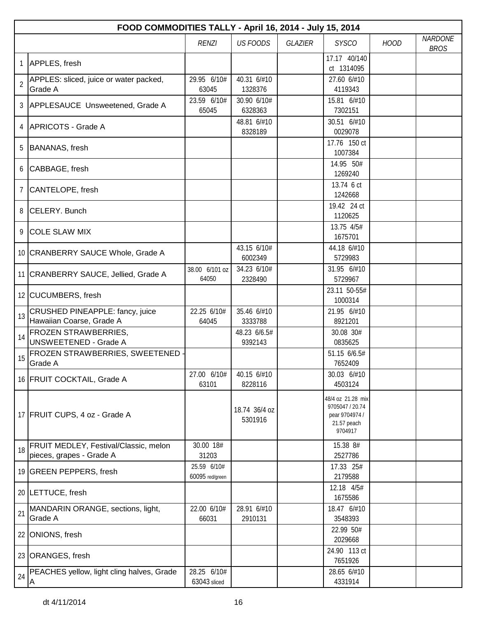|                | FOOD COMMODITIES TALLY - April 16, 2014 - July 15, 2014            |                                |                          |                |                                                                                  |             |                               |  |
|----------------|--------------------------------------------------------------------|--------------------------------|--------------------------|----------------|----------------------------------------------------------------------------------|-------------|-------------------------------|--|
|                |                                                                    | <b>RENZI</b>                   | <b>US FOODS</b>          | <b>GLAZIER</b> | <b>SYSCO</b>                                                                     | <b>HOOD</b> | <b>NARDONE</b><br><b>BROS</b> |  |
| 1              | APPLES, fresh                                                      |                                |                          |                | 17.17 40/140<br>ct 1314095                                                       |             |                               |  |
| $\overline{2}$ | APPLES: sliced, juice or water packed,<br>Grade A                  | 29.95 6/10#<br>63045           | 40.31 6/#10<br>1328376   |                | 27.60 6/#10<br>4119343                                                           |             |                               |  |
|                | 3 APPLESAUCE Unsweetened, Grade A                                  | 23.59 6/10#<br>65045           | 30.90 6/10#<br>6328363   |                | 15.81 6/#10<br>7302151                                                           |             |                               |  |
| 4              | APRICOTS - Grade A                                                 |                                | 48.81 6/#10<br>8328189   |                | 30.51 6/#10<br>0029078                                                           |             |                               |  |
| 5              | BANANAS, fresh                                                     |                                |                          |                | 17.76 150 ct<br>1007384                                                          |             |                               |  |
| 6              | CABBAGE, fresh                                                     |                                |                          |                | 14.95 50#<br>1269240                                                             |             |                               |  |
| $\overline{7}$ | CANTELOPE, fresh                                                   |                                |                          |                | 13.74 6 ct<br>1242668                                                            |             |                               |  |
|                | 8 CELERY, Bunch                                                    |                                |                          |                | 19.42 24 ct<br>1120625                                                           |             |                               |  |
| 9              | <b>COLE SLAW MIX</b>                                               |                                |                          |                | 13.75 4/5#<br>1675701                                                            |             |                               |  |
|                | 10 CRANBERRY SAUCE Whole, Grade A                                  |                                | 43.15 6/10#<br>6002349   |                | 44.18 6/#10<br>5729983                                                           |             |                               |  |
|                | 11 CRANBERRY SAUCE, Jellied, Grade A                               | 38.00 6/101 oz<br>64050        | 34.23 6/10#<br>2328490   |                | 31.95 6/#10<br>5729967                                                           |             |                               |  |
|                | 12 CUCUMBERS, fresh                                                |                                |                          |                | 23.11 50-55#<br>1000314                                                          |             |                               |  |
| 13             | <b>CRUSHED PINEAPPLE: fancy, juice</b><br>Hawaiian Coarse, Grade A | 22.25 6/10#<br>64045           | 35.46 6/#10<br>3333788   |                | 21.95 6/#10<br>8921201                                                           |             |                               |  |
| 14             | <b>FROZEN STRAWBERRIES,</b><br><b>UNSWEETENED - Grade A</b>        |                                | 48.23 6/6.5#<br>9392143  |                | 30.08 30#<br>0835625                                                             |             |                               |  |
| 15             | FROZEN STRAWBERRIES, SWEETENED<br>Grade A                          |                                |                          |                | 51.15 6/6.5#<br>7652409                                                          |             |                               |  |
|                | 16 FRUIT COCKTAIL, Grade A                                         | 27.00 6/10#<br>63101           | 40.15 6/#10<br>8228116   |                | 30.03 6/#10<br>4503124                                                           |             |                               |  |
|                | 17 FRUIT CUPS, 4 oz - Grade A                                      |                                | 18.74 36/4 oz<br>5301916 |                | 48/4 oz 21.28 mix<br>9705047 / 20.74<br>pear 9704974 /<br>21.57 peach<br>9704917 |             |                               |  |
| 18             | FRUIT MEDLEY, Festival/Classic, melon<br>pieces, grapes - Grade A  | 30.00 18#<br>31203             |                          |                | 15.38 8#<br>2527786                                                              |             |                               |  |
|                | 19 GREEN PEPPERS, fresh                                            | 25.59 6/10#<br>60095 red/green |                          |                | 17.33 25#<br>2179588                                                             |             |                               |  |
|                | 20 LETTUCE, fresh                                                  |                                |                          |                | 12.18 4/5#<br>1675586                                                            |             |                               |  |
| 21             | MANDARIN ORANGE, sections, light,<br>Grade A                       | 22.00 6/10#<br>66031           | 28.91 6/#10<br>2910131   |                | 18.47 6/#10<br>3548393                                                           |             |                               |  |
|                | 22 ONIONS, fresh                                                   |                                |                          |                | 22.99 50#<br>2029668                                                             |             |                               |  |
|                | 23 ORANGES, fresh                                                  |                                |                          |                | 24.90 113 ct<br>7651926                                                          |             |                               |  |
| 24             | PEACHES yellow, light cling halves, Grade                          | 28.25 6/10#<br>63043 sliced    |                          |                | 28.65 6/#10<br>4331914                                                           |             |                               |  |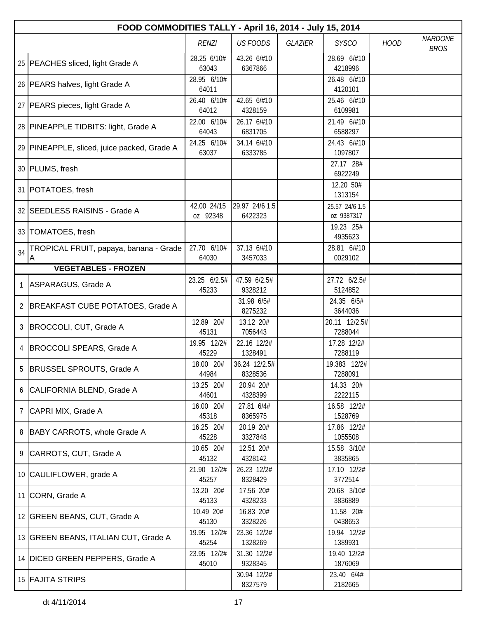|              | FOOD COMMODITIES TALLY - April 16, 2014 - July 15, 2014 |                         |                           |                |                              |             |                               |  |
|--------------|---------------------------------------------------------|-------------------------|---------------------------|----------------|------------------------------|-------------|-------------------------------|--|
|              |                                                         | <b>RENZI</b>            | <b>US FOODS</b>           | <b>GLAZIER</b> | <b>SYSCO</b>                 | <b>HOOD</b> | <b>NARDONE</b><br><b>BROS</b> |  |
|              | 25   PEACHES sliced, light Grade A                      | 28.25 6/10#<br>63043    | 43.26 6/#10<br>6367866    |                | 28.69 6/#10<br>4218996       |             |                               |  |
|              | 26   PEARS halves, light Grade A                        | 28.95 6/10#<br>64011    |                           |                | 26.48 6/#10<br>4120101       |             |                               |  |
|              | 27   PEARS pieces, light Grade A                        | 26.40 6/10#<br>64012    | 42.65 6/#10<br>4328159    |                | 25.46 6/#10<br>6109981       |             |                               |  |
|              | 28 PINEAPPLE TIDBITS: light, Grade A                    | 22.00 6/10#<br>64043    | 26.17 6/#10<br>6831705    |                | 21.49 6/#10<br>6588297       |             |                               |  |
|              | 29 PINEAPPLE, sliced, juice packed, Grade A             | 24.25 6/10#<br>63037    | 34.14 6/#10<br>6333785    |                | 24.43 6/#10<br>1097807       |             |                               |  |
|              | 30 PLUMS, fresh                                         |                         |                           |                | 27.17 28#<br>6922249         |             |                               |  |
|              | 31 POTATOES, fresh                                      |                         |                           |                | 12.20 50#<br>1313154         |             |                               |  |
|              | 32 SEEDLESS RAISINS - Grade A                           | 42.00 24/15<br>oz 92348 | 29.97 24/6 1.5<br>6422323 |                | 25.57 24/6 1.5<br>oz 9387317 |             |                               |  |
|              | 33   TOMATOES, fresh                                    |                         |                           |                | 19.23 25#<br>4935623         |             |                               |  |
| 34           | TROPICAL FRUIT, papaya, banana - Grade<br>A             | 27.70 6/10#<br>64030    | 37.13 6/#10<br>3457033    |                | 28.81 6/#10<br>0029102       |             |                               |  |
|              | <b>VEGETABLES - FROZEN</b>                              |                         |                           |                |                              |             |                               |  |
| $\mathbf{1}$ | ASPARAGUS, Grade A                                      | 23.25 6/2.5#            | 47.59 6/2.5#              |                | 27.72 6/2.5#                 |             |                               |  |
|              |                                                         | 45233                   | 9328212                   |                | 5124852                      |             |                               |  |
| $\mathbf{2}$ | BREAKFAST CUBE POTATOES, Grade A                        |                         | 31.98 6/5#<br>8275232     |                | 24.35 6/5#<br>3644036        |             |                               |  |
| 3            | BROCCOLI, CUT, Grade A                                  | 12.89 20#<br>45131      | 13.12 20#<br>7056443      |                | 20.11 12/2.5#<br>7288044     |             |                               |  |
| 4            | BROCCOLI SPEARS, Grade A                                | 19.95 12/2#<br>45229    | 22.16 12/2#<br>1328491    |                | 17.28 12/2#<br>7288119       |             |                               |  |
| 5            | <b>BRUSSEL SPROUTS, Grade A</b>                         | 18.00 20#<br>44984      | 36.24 12/2.5#<br>8328536  |                | 19.383 12/2#<br>7288091      |             |                               |  |
| 6            | CALIFORNIA BLEND, Grade A                               | 13.25 20#<br>44601      | 20.94 20#<br>4328399      |                | 14.33 20#<br>2222115         |             |                               |  |
| 7            | CAPRI MIX, Grade A                                      | 16.00 20#<br>45318      | 27.81 6/4#<br>8365975     |                | 16.58 12/2#<br>1528769       |             |                               |  |
|              | 8 BABY CARROTS, whole Grade A                           | 16.25 20#<br>45228      | 20.19 20#<br>3327848      |                | 17.86 12/2#<br>1055508       |             |                               |  |
| 9            | CARROTS, CUT, Grade A                                   | 10.65 20#<br>45132      | 12.51 20#<br>4328142      |                | 15.58 3/10#<br>3835865       |             |                               |  |
|              | 10 CAULIFLOWER, grade A                                 | 21.90 12/2#<br>45257    | 26.23 12/2#<br>8328429    |                | 17.10 12/2#<br>3772514       |             |                               |  |
|              | 11 CORN, Grade A                                        | 13.20 20#<br>45133      | 17.56 20#<br>4328233      |                | 20.68 3/10#<br>3836889       |             |                               |  |
|              | 12 GREEN BEANS, CUT, Grade A                            | 10.49 20#<br>45130      | 16.83 20#<br>3328226      |                | 11.58 20#<br>0438653         |             |                               |  |
|              | 13 GREEN BEANS, ITALIAN CUT, Grade A                    | 19.95 12/2#<br>45254    | 23.36 12/2#<br>1328269    |                | 19.94 12/2#<br>1389931       |             |                               |  |
|              | 14 DICED GREEN PEPPERS, Grade A                         | 23.95 12/2#<br>45010    | 31.30 12/2#<br>9328345    |                | 19.40 12/2#<br>1876069       |             |                               |  |
|              | 15 FAJITA STRIPS                                        |                         | 30.94 12/2#<br>8327579    |                | 23.40 6/4#<br>2182665        |             |                               |  |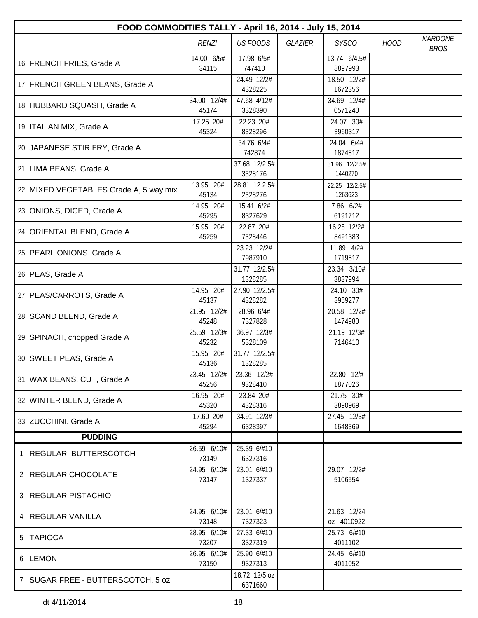|   | FOOD COMMODITIES TALLY - April 16, 2014 - July 15, 2014 |                      |                          |         |                           |             |                               |  |  |
|---|---------------------------------------------------------|----------------------|--------------------------|---------|---------------------------|-------------|-------------------------------|--|--|
|   |                                                         | <b>RENZI</b>         | <b>US FOODS</b>          | GLAZIER | <b>SYSCO</b>              | <b>HOOD</b> | <b>NARDONE</b><br><b>BROS</b> |  |  |
|   | 16 FRENCH FRIES, Grade A                                | 14.00 6/5#<br>34115  | 17.98 6/5#<br>747410     |         | 13.74 6/4.5#<br>8897993   |             |                               |  |  |
|   | 17 FRENCH GREEN BEANS, Grade A                          |                      | 24.49 12/2#<br>4328225   |         | 18.50 12/2#<br>1672356    |             |                               |  |  |
|   | 18 HUBBARD SQUASH, Grade A                              | 34.00 12/4#<br>45174 | 47.68 4/12#<br>3328390   |         | 34.69 12/4#<br>0571240    |             |                               |  |  |
|   | 19   ITALIAN MIX, Grade A                               | 17.25 20#<br>45324   | 22.23 20#<br>8328296     |         | 24.07 30#<br>3960317      |             |                               |  |  |
|   | 20 JAPANESE STIR FRY, Grade A                           |                      | 34.76 6/4#<br>742874     |         | 24.04 6/4#<br>1874817     |             |                               |  |  |
|   | 21 LIMA BEANS, Grade A                                  |                      | 37.68 12/2.5#<br>3328176 |         | 31.96 12/2.5#<br>1440270  |             |                               |  |  |
|   | 22 MIXED VEGETABLES Grade A, 5 way mix                  | 13.95 20#<br>45134   | 28.81 12.2.5#<br>2328276 |         | 22.25 12/2.5#<br>1263623  |             |                               |  |  |
|   | 23 ONIONS, DICED, Grade A                               | 14.95 20#<br>45295   | 15.41 6/2#<br>8327629    |         | 7.86 6/2#<br>6191712      |             |                               |  |  |
|   | 24 ORIENTAL BLEND, Grade A                              | 15.95 20#<br>45259   | 22.87 20#<br>7328446     |         | 16.28 12/2#<br>8491383    |             |                               |  |  |
|   | 25 PEARL ONIONS. Grade A                                |                      | 23.23 12/2#<br>7987910   |         | 11.89 4/2#<br>1719517     |             |                               |  |  |
|   | 26 PEAS, Grade A                                        |                      | 31.77 12/2.5#<br>1328285 |         | 23.34 3/10#<br>3837994    |             |                               |  |  |
|   | 27   PEAS/CARROTS, Grade A                              | 14.95 20#<br>45137   | 27.90 12/2.5#<br>4328282 |         | 24.10 30#<br>3959277      |             |                               |  |  |
|   | 28 SCAND BLEND, Grade A                                 | 21.95 12/2#<br>45248 | 28.96 6/4#<br>7327828    |         | 20.58 12/2#<br>1474980    |             |                               |  |  |
|   | 29 SPINACH, chopped Grade A                             | 25.59 12/3#<br>45232 | 36.97 12/3#<br>5328109   |         | 21.19 12/3#<br>7146410    |             |                               |  |  |
|   | 30 SWEET PEAS, Grade A                                  | 15.95 20#<br>45136   | 31.77 12/2.5#<br>1328285 |         |                           |             |                               |  |  |
|   | 31 WAX BEANS, CUT, Grade A                              | 23.45 12/2#<br>45256 | 23.36 12/2#<br>9328410   |         | 22.80 12/#<br>1877026     |             |                               |  |  |
|   | 32 WINTER BLEND, Grade A                                | 16.95 20#<br>45320   | 23.84 20#<br>4328316     |         | 21.75 30#<br>3890969      |             |                               |  |  |
|   | 33 ZUCCHINI. Grade A                                    | 17.60 20#<br>45294   | 34.91 12/3#<br>6328397   |         | 27.45 12/3#<br>1648369    |             |                               |  |  |
|   | <b>PUDDING</b>                                          |                      |                          |         |                           |             |                               |  |  |
| 1 | <b>REGULAR BUTTERSCOTCH</b>                             | 26.59 6/10#<br>73149 | 25.39 6/#10<br>6327316   |         |                           |             |                               |  |  |
|   | 2   REGULAR CHOCOLATE                                   | 24.95 6/10#<br>73147 | 23.01 6/#10<br>1327337   |         | 29.07 12/2#<br>5106554    |             |                               |  |  |
|   | 3 REGULAR PISTACHIO                                     |                      |                          |         |                           |             |                               |  |  |
| 4 | <b>REGULAR VANILLA</b>                                  | 24.95 6/10#<br>73148 | 23.01 6/#10<br>7327323   |         | 21.63 12/24<br>oz 4010922 |             |                               |  |  |
| 5 | <b>TAPIOCA</b>                                          | 28.95 6/10#<br>73207 | 27.33 6/#10<br>3327319   |         | 25.73 6/#10<br>4011102    |             |                               |  |  |
|   | 6  LEMON                                                | 26.95 6/10#<br>73150 | 25.90 6/#10<br>9327313   |         | 24.45 6/#10<br>4011052    |             |                               |  |  |
|   | 7   SUGAR FREE - BUTTERSCOTCH, 5 oz                     |                      | 18.72 12/5 oz<br>6371660 |         |                           |             |                               |  |  |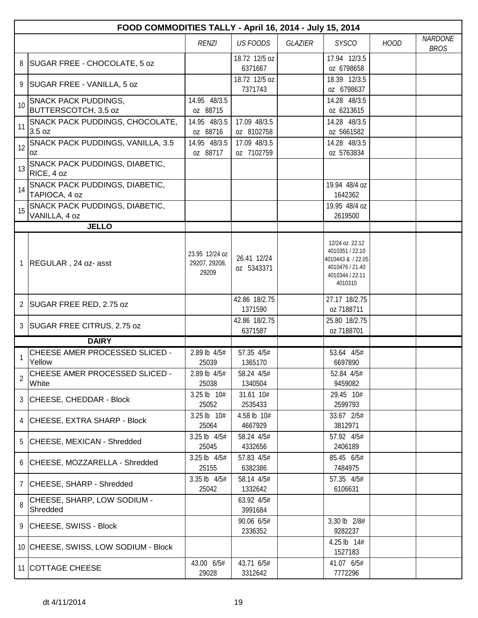|    | FOOD COMMODITIES TALLY - April 16, 2014 - July 15, 2014 |                                          |                            |         |                                                                                                         |             |                               |  |
|----|---------------------------------------------------------|------------------------------------------|----------------------------|---------|---------------------------------------------------------------------------------------------------------|-------------|-------------------------------|--|
|    |                                                         | <b>RENZI</b>                             | <b>US FOODS</b>            | GLAZIER | <b>SYSCO</b>                                                                                            | <b>HOOD</b> | <b>NARDONE</b><br><b>BROS</b> |  |
| 8  | SUGAR FREE - CHOCOLATE, 5 oz                            |                                          | 18.72 12/5 oz<br>6371667   |         | 17.94 12/3.5<br>oz 6798658                                                                              |             |                               |  |
| 9  | SUGAR FREE - VANILLA, 5 oz                              |                                          | 18.72 12/5 oz<br>7371743   |         | 18.39 12/3.5<br>oz 6798637                                                                              |             |                               |  |
| 10 | <b>SNACK PACK PUDDINGS,</b><br>BUTTERSCOTCH, 3.5 oz     | 14.95 48/3.5<br>oz 88715                 |                            |         | 14.28 48/3.5<br>oz 6213615                                                                              |             |                               |  |
| 11 | SNACK PACK PUDDINGS, CHOCOLATE,<br>3.5 oz               | 14.95 48/3.5<br>oz 88716                 | 17.09 48/3.5<br>oz 8102758 |         | 14.28 48/3.5<br>oz 5661582                                                                              |             |                               |  |
| 12 | SNACK PACK PUDDINGS, VANILLA, 3.5<br>0Z                 | 14.95 48/3.5<br>oz 88717                 | 17.09 48/3.5<br>oz 7102759 |         | 14.28 48/3.5<br>oz 5763834                                                                              |             |                               |  |
| 13 | SNACK PACK PUDDINGS, DIABETIC,<br>RICE, 4 oz            |                                          |                            |         |                                                                                                         |             |                               |  |
| 14 | SNACK PACK PUDDINGS, DIABETIC,<br>TAPIOCA, 4 oz         |                                          |                            |         | 19.94 48/4 oz<br>1642362                                                                                |             |                               |  |
| 15 | SNACK PACK PUDDINGS, DIABETIC,<br>VANILLA, 4 oz         |                                          |                            |         | 19.95 48/4 oz<br>2619500                                                                                |             |                               |  |
|    | <b>JELLO</b>                                            |                                          |                            |         |                                                                                                         |             |                               |  |
|    | REGULAR, 24 oz- asst                                    | 23.95 12/24 oz<br>29207, 29208,<br>29209 | 26.41 12/24<br>oz 5343371  |         | 12/24 oz 22.12<br>4010351 / 22.10<br>4010443 & / 22.05<br>4010476 / 21.40<br>4010344 / 22.11<br>4010310 |             |                               |  |
|    | 2 SUGAR FREE RED, 2.75 oz                               |                                          | 42.86 18/2.75<br>1371590   |         | 27.17 18/2.75<br>oz 7188711                                                                             |             |                               |  |
| 3  | SUGAR FREE CITRUS, 2.75 oz                              |                                          | 42.86 18/2.75<br>6371587   |         | 25.80 18/2.75<br>oz 7188701                                                                             |             |                               |  |
|    | <b>DAIRY</b>                                            |                                          |                            |         |                                                                                                         |             |                               |  |
|    | CHEESE AMER PROCESSED SLICED -<br>Yellow                | 2.89 lb 4/5#<br>25039                    | 57.35 4/5#<br>1365170      |         | 53.64 4/5#<br>6697890                                                                                   |             |                               |  |
| 2  | CHEESE AMER PROCESSED SLICED -<br>White                 | 2.89 lb 4/5#<br>25038                    | 58.24 4/5#<br>1340504      |         | 52.84 4/5#<br>9459082                                                                                   |             |                               |  |
|    | 3 CHEESE, CHEDDAR - Block                               | 3.25 lb 10#<br>25052                     | 31.61 10#<br>2535433       |         | 29.45 10#<br>2599793                                                                                    |             |                               |  |
|    | 4 CHEESE, EXTRA SHARP - Block                           | 3.25 lb 10#<br>25064                     | 4.58 lb 10#<br>4667929     |         | 33.67 2/5#<br>3812971                                                                                   |             |                               |  |
|    | 5 CHEESE, MEXICAN - Shredded                            | 3.25 lb 4/5#<br>25045                    | 58.24 4/5#<br>4332656      |         | 57.92 4/5#<br>2406189                                                                                   |             |                               |  |
|    | 6 CHEESE, MOZZARELLA - Shredded                         | 3.25 lb 4/5#<br>25155                    | 57.83 4/5#<br>6382386      |         | 85.45 6/5#<br>7484975                                                                                   |             |                               |  |
|    | 7 CHEESE, SHARP - Shredded                              | 3.35 lb 4/5#<br>25042                    | 58.14 4/5#<br>1332642      |         | 57.35 4/5#<br>6106631                                                                                   |             |                               |  |
| 8  | CHEESE, SHARP, LOW SODIUM -<br>Shredded                 |                                          | 63.92 4/5#<br>3991684      |         |                                                                                                         |             |                               |  |
|    | 9 CHEESE, SWISS - Block                                 |                                          | 90.06 6/5#<br>2336352      |         | 3.30 lb 2/8#<br>9282237                                                                                 |             |                               |  |
|    | 10 CHEESE, SWISS, LOW SODIUM - Block                    |                                          |                            |         | 4.25 lb 14#<br>1527183                                                                                  |             |                               |  |
|    | 11 COTTAGE CHEESE                                       | 43.00 6/5#<br>29028                      | 43.71 6/5#<br>3312642      |         | 41.07 6/5#<br>7772296                                                                                   |             |                               |  |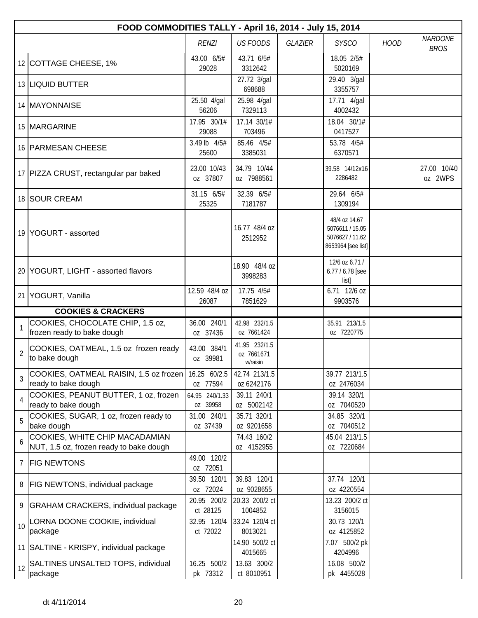|    | FOOD COMMODITIES TALLY - April 16, 2014 - July 15, 2014                   |                            |                                         |                |                                                                           |             |                               |  |
|----|---------------------------------------------------------------------------|----------------------------|-----------------------------------------|----------------|---------------------------------------------------------------------------|-------------|-------------------------------|--|
|    |                                                                           | <b>RENZI</b>               | <b>US FOODS</b>                         | <b>GLAZIER</b> | <b>SYSCO</b>                                                              | <b>HOOD</b> | <b>NARDONE</b><br><b>BROS</b> |  |
|    | 12 COTTAGE CHEESE, 1%                                                     | 43.00 6/5#<br>29028        | 43.71 6/5#<br>3312642                   |                | 18.05 2/5#<br>5020169                                                     |             |                               |  |
|    | 13 LIQUID BUTTER                                                          |                            | 27.72 3/gal<br>698688                   |                | 29.40 3/gal<br>3355757                                                    |             |                               |  |
|    | 14   MAYONNAISE                                                           | 25.50 4/gal<br>56206       | 25.98 4/gal<br>7329113                  |                | 17.71 4/gal<br>4002432                                                    |             |                               |  |
|    | 15 MARGARINE                                                              | 17.95 30/1#<br>29088       | 17.14 30/1#<br>703496                   |                | 18.04 30/1#<br>0417527                                                    |             |                               |  |
|    | 16 PARMESAN CHEESE                                                        | 3.49 lb 4/5#<br>25600      | 85.46 4/5#<br>3385031                   |                | 53.78 4/5#<br>6370571                                                     |             |                               |  |
|    | 17 PIZZA CRUST, rectangular par baked                                     | 23.00 10/43<br>oz 37807    | 34.79 10/44<br>oz 7988561               |                | 39.58 14/12x16<br>2286482                                                 |             | 27.00 10/40<br>oz 2WPS        |  |
|    | 18 SOUR CREAM                                                             | 31.15 6/5#<br>25325        | 32.39 6/5#<br>7181787                   |                | 29.64 6/5#<br>1309194                                                     |             |                               |  |
|    | 19 YOGURT - assorted                                                      |                            | 16.77 48/4 oz<br>2512952                |                | 48/4 oz 14.67<br>5076611 / 15.05<br>5076627 / 11.62<br>8653964 [see list] |             |                               |  |
|    | 20 YOGURT, LIGHT - assorted flavors                                       |                            | 18.90 48/4 oz<br>3998283                |                | 12/6 oz 6.71 /<br>6.77 / 6.78 [see<br>list]                               |             |                               |  |
|    | 21 YOGURT, Vanilla                                                        | 12.59 48/4 oz<br>26087     | 17.75 4/5#<br>7851629                   |                | 6.71 12/6 oz<br>9903576                                                   |             |                               |  |
|    | <b>COOKIES &amp; CRACKERS</b>                                             |                            |                                         |                |                                                                           |             |                               |  |
|    | COOKIES, CHOCOLATE CHIP, 1.5 oz,<br>frozen ready to bake dough            | 36.00 240/1<br>oz 37436    | 42.98 232/1.5<br>oz 7661424             |                | 35.91 213/1.5<br>oz 7220775                                               |             |                               |  |
| 2  | COOKIES, OATMEAL, 1.5 oz frozen ready<br>to bake dough                    | 43.00 384/1<br>oz 39981    | 41.95 232/1.5<br>oz 7661671<br>w/raisin |                |                                                                           |             |                               |  |
| 3  | COOKIES, OATMEAL RAISIN, 1.5 oz frozen<br>ready to bake dough             | 16.25 60/2.5<br>oz 77594   | 42.74 213/1.5<br>oz 6242176             |                | 39.77 213/1.5<br>oz 2476034                                               |             |                               |  |
| 4  | COOKIES, PEANUT BUTTER, 1 oz, frozen<br>ready to bake dough               | 64.95 240/1.33<br>oz 39958 | 39.11 240/1<br>oz 5002142               |                | 39.14 320/1<br>oz 7040520                                                 |             |                               |  |
| 5  | COOKIES, SUGAR, 1 oz, frozen ready to<br>bake dough                       | 31.00 240/1<br>oz 37439    | 35.71 320/1<br>oz 9201658               |                | 34.85 320/1<br>oz 7040512                                                 |             |                               |  |
| 6  | COOKIES, WHITE CHIP MACADAMIAN<br>NUT, 1.5 oz, frozen ready to bake dough |                            | 74.43 160/2<br>oz 4152955               |                | 45.04 213/1.5<br>oz 7220684                                               |             |                               |  |
| 7  | <b>FIG NEWTONS</b>                                                        | 49.00 120/2<br>oz 72051    |                                         |                |                                                                           |             |                               |  |
| 8  | FIG NEWTONS, individual package                                           | 39.50 120/1<br>oz 72024    | 39.83 120/1<br>oz 9028655               |                | 37.74 120/1<br>oz 4220554                                                 |             |                               |  |
| 9. | <b>GRAHAM CRACKERS, individual package</b>                                | 20.95 200/2<br>ct 28125    | 20.33 200/2 ct<br>1004852               |                | 13.23 200/2 ct<br>3156015                                                 |             |                               |  |
| 10 | LORNA DOONE COOKIE, individual<br>package                                 | 32.95 120/4<br>ct 72022    | 33.24 120/4 ct<br>8013021               |                | 30.73 120/1<br>oz 4125852                                                 |             |                               |  |
|    | 11 SALTINE - KRISPY, individual package                                   |                            | 14.90 500/2 ct<br>4015665               |                | 7.07 500/2 pk<br>4204996                                                  |             |                               |  |
| 12 | SALTINES UNSALTED TOPS, individual<br>package                             | 16.25 500/2<br>pk 73312    | 13.63 300/2<br>ct 8010951               |                | 16.08 500/2<br>pk 4455028                                                 |             |                               |  |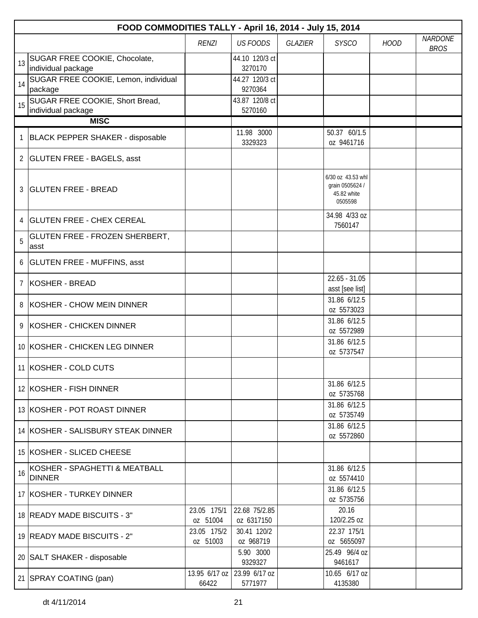| FOOD COMMODITIES TALLY - April 16, 2014 - July 15, 2014 |                                                       |                         |                                        |         |                                                                |             |                               |
|---------------------------------------------------------|-------------------------------------------------------|-------------------------|----------------------------------------|---------|----------------------------------------------------------------|-------------|-------------------------------|
|                                                         |                                                       | <b>RENZI</b>            | <b>US FOODS</b>                        | GLAZIER | <b>SYSCO</b>                                                   | <b>HOOD</b> | <b>NARDONE</b><br><b>BROS</b> |
| 13                                                      | SUGAR FREE COOKIE, Chocolate,<br>individual package   |                         | 44.10 120/3 ct<br>3270170              |         |                                                                |             |                               |
| 14                                                      | SUGAR FREE COOKIE, Lemon, individual<br>package       |                         | 44.27 120/3 ct<br>9270364              |         |                                                                |             |                               |
| 15                                                      | SUGAR FREE COOKIE, Short Bread,<br>individual package |                         | 43.87 120/8 ct<br>5270160              |         |                                                                |             |                               |
|                                                         | <b>MISC</b>                                           |                         |                                        |         |                                                                |             |                               |
|                                                         | <b>BLACK PEPPER SHAKER - disposable</b>               |                         | 11.98 3000<br>3329323                  |         | 50.37 60/1.5<br>oz 9461716                                     |             |                               |
|                                                         | 2 GLUTEN FREE - BAGELS, asst                          |                         |                                        |         |                                                                |             |                               |
| 3                                                       | <b>GLUTEN FREE - BREAD</b>                            |                         |                                        |         | 6/30 oz 43.53 whl<br>grain 0505624 /<br>45.82 white<br>0505598 |             |                               |
| 4                                                       | <b>GLUTEN FREE - CHEX CEREAL</b>                      |                         |                                        |         | 34.98 4/33 oz<br>7560147                                       |             |                               |
| 5                                                       | GLUTEN FREE - FROZEN SHERBERT,<br>asst                |                         |                                        |         |                                                                |             |                               |
| 6                                                       | <b>GLUTEN FREE - MUFFINS, asst</b>                    |                         |                                        |         |                                                                |             |                               |
| $\overline{7}$                                          | KOSHER - BREAD                                        |                         |                                        |         | $22.65 - 31.05$<br>asst [see list]                             |             |                               |
| 8                                                       | KOSHER - CHOW MEIN DINNER                             |                         |                                        |         | 31.86 6/12.5<br>oz 5573023                                     |             |                               |
| 9                                                       | KOSHER - CHICKEN DINNER                               |                         |                                        |         | 31.86 6/12.5<br>oz 5572989                                     |             |                               |
|                                                         | 10 KOSHER - CHICKEN LEG DINNER                        |                         |                                        |         | 31.86 6/12.5<br>oz 5737547                                     |             |                               |
|                                                         | 11 KOSHER - COLD CUTS                                 |                         |                                        |         |                                                                |             |                               |
|                                                         | 12 KOSHER - FISH DINNER                               |                         |                                        |         | 31.86 6/12.5<br>oz 5735768                                     |             |                               |
|                                                         | 13 KOSHER - POT ROAST DINNER                          |                         |                                        |         | 31.86 6/12.5<br>oz 5735749                                     |             |                               |
|                                                         | 14 KOSHER - SALISBURY STEAK DINNER                    |                         |                                        |         | 31.86 6/12.5<br>oz 5572860                                     |             |                               |
|                                                         | 15 KOSHER - SLICED CHEESE                             |                         |                                        |         |                                                                |             |                               |
| 16                                                      | KOSHER - SPAGHETTI & MEATBALL<br><b>DINNER</b>        |                         |                                        |         | 31.86 6/12.5<br>oz 5574410                                     |             |                               |
|                                                         | 17 KOSHER - TURKEY DINNER                             |                         |                                        |         | 31.86 6/12.5<br>oz 5735756                                     |             |                               |
|                                                         | 18 READY MADE BISCUITS - 3"                           | 23.05 175/1<br>oz 51004 | 22.68 75/2.85<br>oz 6317150            |         | 20.16<br>120/2.25 oz                                           |             |                               |
|                                                         | 19 READY MADE BISCUITS - 2"                           | 23.05 175/2<br>oz 51003 | 30.41 120/2<br>oz 968719               |         | 22.37 175/1<br>oz 5655097                                      |             |                               |
|                                                         | 20 SALT SHAKER - disposable                           |                         | 5.90 3000<br>9329327                   |         | 25.49 96/4 oz<br>9461617                                       |             |                               |
|                                                         | 21 SPRAY COATING (pan)                                | 66422                   | 13.95 6/17 oz 23.99 6/17 oz<br>5771977 |         | 10.65 6/17 oz<br>4135380                                       |             |                               |